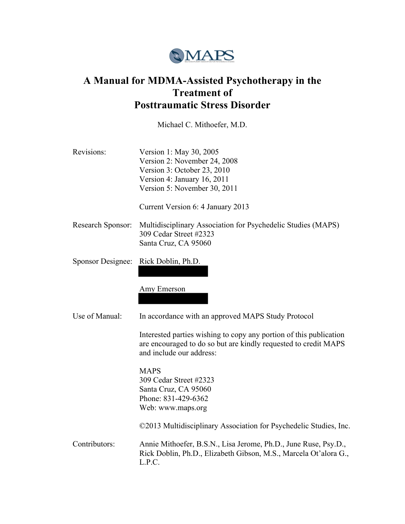

# **A Manual for MDMA-Assisted Psychotherapy in the Treatment of Posttraumatic Stress Disorder**

Michael C. Mithoefer, M.D.

| Revisions:        | Version 1: May 30, 2005<br>Version 2: November 24, 2008<br>Version 3: October 23, 2010<br>Version 4: January 16, 2011<br>Version 5: November 30, 2011             |
|-------------------|-------------------------------------------------------------------------------------------------------------------------------------------------------------------|
|                   | Current Version 6: 4 January 2013                                                                                                                                 |
| Research Sponsor: | Multidisciplinary Association for Psychedelic Studies (MAPS)<br>309 Cedar Street #2323<br>Santa Cruz, CA 95060                                                    |
| Sponsor Designee: | Rick Doblin, Ph.D.                                                                                                                                                |
|                   | Amy Emerson                                                                                                                                                       |
| Use of Manual:    | In accordance with an approved MAPS Study Protocol                                                                                                                |
|                   | Interested parties wishing to copy any portion of this publication<br>are encouraged to do so but are kindly requested to credit MAPS<br>and include our address: |
|                   | <b>MAPS</b><br>309 Cedar Street #2323<br>Santa Cruz, CA 95060<br>Phone: 831-429-6362<br>Web: www.maps.org                                                         |
|                   | ©2013 Multidisciplinary Association for Psychedelic Studies, Inc.                                                                                                 |
| Contributors:     | Annie Mithoefer, B.S.N., Lisa Jerome, Ph.D., June Ruse, Psy.D.,<br>Rick Doblin, Ph.D., Elizabeth Gibson, M.S., Marcela Ot'alora G.,<br>L.P.C.                     |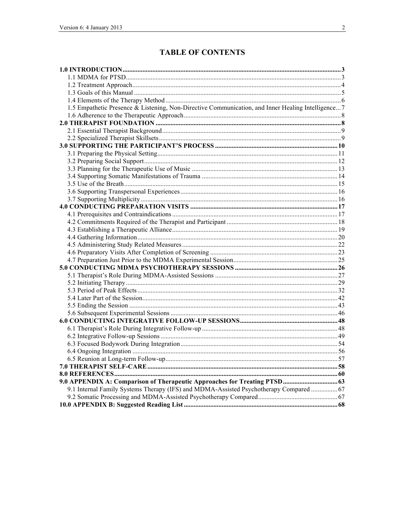## **TABLE OF CONTENTS**

| 1.5 Empathetic Presence & Listening, Non-Directive Communication, and Inner Healing Intelligence 7 |  |
|----------------------------------------------------------------------------------------------------|--|
|                                                                                                    |  |
|                                                                                                    |  |
|                                                                                                    |  |
|                                                                                                    |  |
|                                                                                                    |  |
|                                                                                                    |  |
|                                                                                                    |  |
|                                                                                                    |  |
|                                                                                                    |  |
|                                                                                                    |  |
|                                                                                                    |  |
|                                                                                                    |  |
|                                                                                                    |  |
|                                                                                                    |  |
|                                                                                                    |  |
|                                                                                                    |  |
|                                                                                                    |  |
|                                                                                                    |  |
|                                                                                                    |  |
|                                                                                                    |  |
|                                                                                                    |  |
|                                                                                                    |  |
|                                                                                                    |  |
|                                                                                                    |  |
|                                                                                                    |  |
|                                                                                                    |  |
|                                                                                                    |  |
|                                                                                                    |  |
|                                                                                                    |  |
|                                                                                                    |  |
|                                                                                                    |  |
|                                                                                                    |  |
|                                                                                                    |  |
|                                                                                                    |  |
|                                                                                                    |  |
| 9.0 APPENDIX A: Comparison of Therapeutic Approaches for Treating PTSD 63                          |  |
| 9.1 Internal Family Systems Therapy (IFS) and MDMA-Assisted Psychotherapy Compared  67             |  |
|                                                                                                    |  |
|                                                                                                    |  |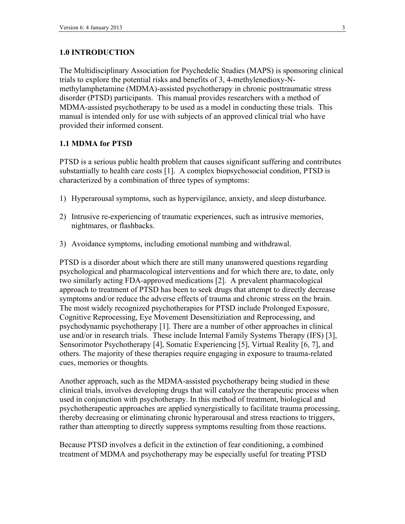### **1.0 INTRODUCTION**

The Multidisciplinary Association for Psychedelic Studies (MAPS) is sponsoring clinical trials to explore the potential risks and benefits of 3, 4-methylenedioxy-Nmethylamphetamine (MDMA)-assisted psychotherapy in chronic posttraumatic stress disorder (PTSD) participants. This manual provides researchers with a method of MDMA-assisted psychotherapy to be used as a model in conducting these trials. This manual is intended only for use with subjects of an approved clinical trial who have provided their informed consent.

### **1.1 MDMA for PTSD**

PTSD is a serious public health problem that causes significant suffering and contributes substantially to health care costs [1]. A complex biopsychosocial condition, PTSD is characterized by a combination of three types of symptoms:

- 1) Hyperarousal symptoms, such as hypervigilance, anxiety, and sleep disturbance.
- 2) Intrusive re-experiencing of traumatic experiences, such as intrusive memories, nightmares, or flashbacks.
- 3) Avoidance symptoms, including emotional numbing and withdrawal.

PTSD is a disorder about which there are still many unanswered questions regarding psychological and pharmacological interventions and for which there are, to date, only two similarly acting FDA-approved medications [2]. A prevalent pharmacological approach to treatment of PTSD has been to seek drugs that attempt to directly decrease symptoms and/or reduce the adverse effects of trauma and chronic stress on the brain. The most widely recognized psychotherapies for PTSD include Prolonged Exposure, Cognitive Reprocessing, Eye Movement Desensitiziation and Reprocessing, and psychodynamic psychotherapy [1]. There are a number of other approaches in clinical use and/or in research trials. These include Internal Family Systems Therapy (IFS) [3], Sensorimotor Psychotherapy [4], Somatic Experiencing [5], Virtual Reality [6, 7], and others. The majority of these therapies require engaging in exposure to trauma-related cues, memories or thoughts.

Another approach, such as the MDMA-assisted psychotherapy being studied in these clinical trials, involves developing drugs that will catalyze the therapeutic process when used in conjunction with psychotherapy. In this method of treatment, biological and psychotherapeutic approaches are applied synergistically to facilitate trauma processing, thereby decreasing or eliminating chronic hyperarousal and stress reactions to triggers, rather than attempting to directly suppress symptoms resulting from those reactions.

Because PTSD involves a deficit in the extinction of fear conditioning, a combined treatment of MDMA and psychotherapy may be especially useful for treating PTSD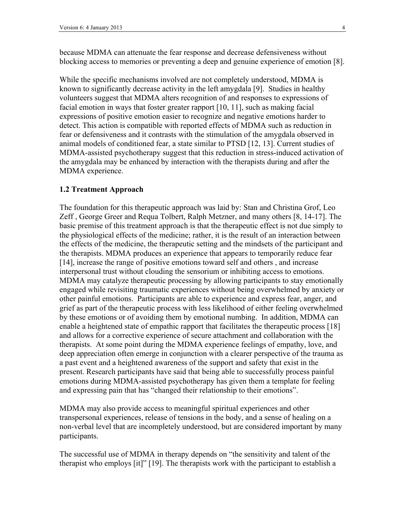because MDMA can attenuate the fear response and decrease defensiveness without blocking access to memories or preventing a deep and genuine experience of emotion [8].

While the specific mechanisms involved are not completely understood, MDMA is known to significantly decrease activity in the left amygdala [9]. Studies in healthy volunteers suggest that MDMA alters recognition of and responses to expressions of facial emotion in ways that foster greater rapport [10, 11], such as making facial expressions of positive emotion easier to recognize and negative emotions harder to detect. This action is compatible with reported effects of MDMA such as reduction in fear or defensiveness and it contrasts with the stimulation of the amygdala observed in animal models of conditioned fear, a state similar to PTSD [12, 13]. Current studies of MDMA-assisted psychotherapy suggest that this reduction in stress-induced activation of the amygdala may be enhanced by interaction with the therapists during and after the MDMA experience.

#### **1.2 Treatment Approach**

The foundation for this therapeutic approach was laid by: Stan and Christina Grof, Leo Zeff , George Greer and Requa Tolbert, Ralph Metzner, and many others [8, 14-17]. The basic premise of this treatment approach is that the therapeutic effect is not due simply to the physiological effects of the medicine; rather, it is the result of an interaction between the effects of the medicine, the therapeutic setting and the mindsets of the participant and the therapists. MDMA produces an experience that appears to temporarily reduce fear [14], increase the range of positive emotions toward self and others , and increase interpersonal trust without clouding the sensorium or inhibiting access to emotions. MDMA may catalyze therapeutic processing by allowing participants to stay emotionally engaged while revisiting traumatic experiences without being overwhelmed by anxiety or other painful emotions. Participants are able to experience and express fear, anger, and grief as part of the therapeutic process with less likelihood of either feeling overwhelmed by these emotions or of avoiding them by emotional numbing. In addition, MDMA can enable a heightened state of empathic rapport that facilitates the therapeutic process [18] and allows for a corrective experience of secure attachment and collaboration with the therapists. At some point during the MDMA experience feelings of empathy, love, and deep appreciation often emerge in conjunction with a clearer perspective of the trauma as a past event and a heightened awareness of the support and safety that exist in the present. Research participants have said that being able to successfully process painful emotions during MDMA-assisted psychotherapy has given them a template for feeling and expressing pain that has "changed their relationship to their emotions".

MDMA may also provide access to meaningful spiritual experiences and other transpersonal experiences, release of tensions in the body, and a sense of healing on a non-verbal level that are incompletely understood, but are considered important by many participants.

The successful use of MDMA in therapy depends on "the sensitivity and talent of the therapist who employs [it]" [19]. The therapists work with the participant to establish a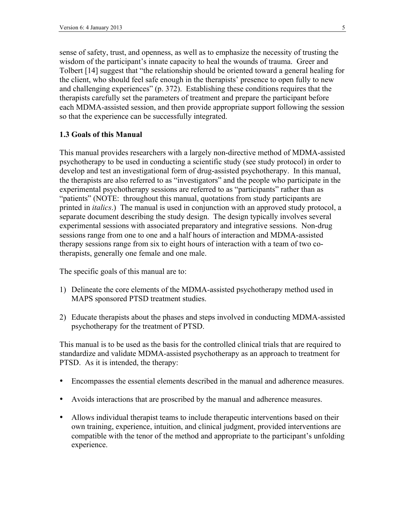sense of safety, trust, and openness, as well as to emphasize the necessity of trusting the wisdom of the participant's innate capacity to heal the wounds of trauma. Greer and Tolbert [14] suggest that "the relationship should be oriented toward a general healing for the client, who should feel safe enough in the therapists' presence to open fully to new and challenging experiences" (p. 372). Establishing these conditions requires that the therapists carefully set the parameters of treatment and prepare the participant before each MDMA-assisted session, and then provide appropriate support following the session so that the experience can be successfully integrated.

#### **1.3 Goals of this Manual**

This manual provides researchers with a largely non-directive method of MDMA-assisted psychotherapy to be used in conducting a scientific study (see study protocol) in order to develop and test an investigational form of drug-assisted psychotherapy. In this manual, the therapists are also referred to as "investigators" and the people who participate in the experimental psychotherapy sessions are referred to as "participants" rather than as "patients" (NOTE: throughout this manual, quotations from study participants are printed in *italics*.) The manual is used in conjunction with an approved study protocol, a separate document describing the study design. The design typically involves several experimental sessions with associated preparatory and integrative sessions. Non-drug sessions range from one to one and a half hours of interaction and MDMA-assisted therapy sessions range from six to eight hours of interaction with a team of two cotherapists, generally one female and one male.

The specific goals of this manual are to:

- 1) Delineate the core elements of the MDMA-assisted psychotherapy method used in MAPS sponsored PTSD treatment studies.
- 2) Educate therapists about the phases and steps involved in conducting MDMA-assisted psychotherapy for the treatment of PTSD.

This manual is to be used as the basis for the controlled clinical trials that are required to standardize and validate MDMA-assisted psychotherapy as an approach to treatment for PTSD. As it is intended, the therapy:

- Encompasses the essential elements described in the manual and adherence measures.
- Avoids interactions that are proscribed by the manual and adherence measures.
- Allows individual therapist teams to include therapeutic interventions based on their own training, experience, intuition, and clinical judgment, provided interventions are compatible with the tenor of the method and appropriate to the participant's unfolding experience.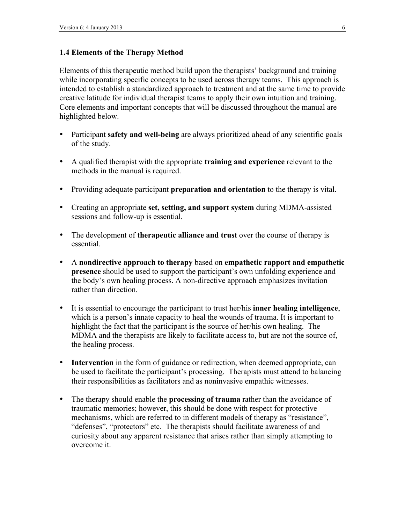### **1.4 Elements of the Therapy Method**

Elements of this therapeutic method build upon the therapists' background and training while incorporating specific concepts to be used across therapy teams. This approach is intended to establish a standardized approach to treatment and at the same time to provide creative latitude for individual therapist teams to apply their own intuition and training. Core elements and important concepts that will be discussed throughout the manual are highlighted below.

- Participant **safety and well-being** are always prioritized ahead of any scientific goals of the study.
- A qualified therapist with the appropriate **training and experience** relevant to the methods in the manual is required.
- Providing adequate participant **preparation and orientation** to the therapy is vital.
- Creating an appropriate **set, setting, and support system** during MDMA-assisted sessions and follow-up is essential.
- The development of **therapeutic alliance and trust** over the course of therapy is essential.
- A **nondirective approach to therapy** based on **empathetic rapport and empathetic presence** should be used to support the participant's own unfolding experience and the body's own healing process. A non-directive approach emphasizes invitation rather than direction.
- It is essential to encourage the participant to trust her/his **inner healing intelligence**, which is a person's innate capacity to heal the wounds of trauma. It is important to highlight the fact that the participant is the source of her/his own healing. The MDMA and the therapists are likely to facilitate access to, but are not the source of, the healing process.
- **Intervention** in the form of guidance or redirection, when deemed appropriate, can be used to facilitate the participant's processing. Therapists must attend to balancing their responsibilities as facilitators and as noninvasive empathic witnesses.
- The therapy should enable the **processing of trauma** rather than the avoidance of traumatic memories; however, this should be done with respect for protective mechanisms, which are referred to in different models of therapy as "resistance", "defenses", "protectors" etc. The therapists should facilitate awareness of and curiosity about any apparent resistance that arises rather than simply attempting to overcome it.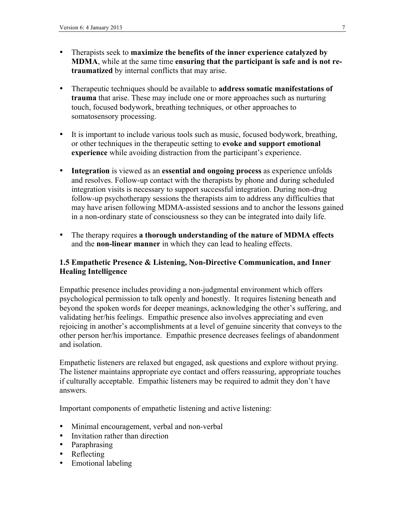- Therapists seek to **maximize the benefits of the inner experience catalyzed by MDMA**, while at the same time **ensuring that the participant is safe and is not retraumatized** by internal conflicts that may arise.
- Therapeutic techniques should be available to **address somatic manifestations of trauma** that arise. These may include one or more approaches such as nurturing touch, focused bodywork, breathing techniques, or other approaches to somatosensory processing.
- It is important to include various tools such as music, focused bodywork, breathing, or other techniques in the therapeutic setting to **evoke and support emotional experience** while avoiding distraction from the participant's experience.
- **Integration** is viewed as an **essential and ongoing process** as experience unfolds and resolves. Follow-up contact with the therapists by phone and during scheduled integration visits is necessary to support successful integration. During non-drug follow-up psychotherapy sessions the therapists aim to address any difficulties that may have arisen following MDMA-assisted sessions and to anchor the lessons gained in a non-ordinary state of consciousness so they can be integrated into daily life.
- The therapy requires **a thorough understanding of the nature of MDMA effects**  and the **non-linear manner** in which they can lead to healing effects.

### **1.5 Empathetic Presence & Listening, Non-Directive Communication, and Inner Healing Intelligence**

Empathic presence includes providing a non-judgmental environment which offers psychological permission to talk openly and honestly. It requires listening beneath and beyond the spoken words for deeper meanings, acknowledging the other's suffering, and validating her/his feelings. Empathic presence also involves appreciating and even rejoicing in another's accomplishments at a level of genuine sincerity that conveys to the other person her/his importance. Empathic presence decreases feelings of abandonment and isolation.

Empathetic listeners are relaxed but engaged, ask questions and explore without prying. The listener maintains appropriate eye contact and offers reassuring, appropriate touches if culturally acceptable. Empathic listeners may be required to admit they don't have answers.

Important components of empathetic listening and active listening:

- Minimal encouragement, verbal and non-verbal
- Invitation rather than direction
- Paraphrasing
- Reflecting
- Emotional labeling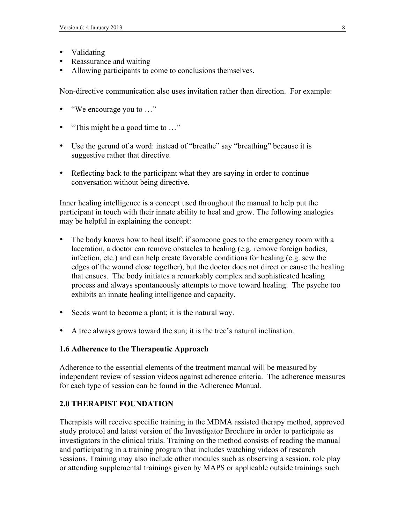- Validating
- Reassurance and waiting
- Allowing participants to come to conclusions themselves.

Non-directive communication also uses invitation rather than direction. For example:

- "We encourage you to …"
- "This might be a good time to ..."
- Use the gerund of a word: instead of "breathe" say "breathing" because it is suggestive rather that directive.
- Reflecting back to the participant what they are saying in order to continue conversation without being directive.

Inner healing intelligence is a concept used throughout the manual to help put the participant in touch with their innate ability to heal and grow. The following analogies may be helpful in explaining the concept:

- The body knows how to heal itself: if someone goes to the emergency room with a laceration, a doctor can remove obstacles to healing (e.g. remove foreign bodies, infection, etc.) and can help create favorable conditions for healing (e.g. sew the edges of the wound close together), but the doctor does not direct or cause the healing that ensues. The body initiates a remarkably complex and sophisticated healing process and always spontaneously attempts to move toward healing. The psyche too exhibits an innate healing intelligence and capacity.
- Seeds want to become a plant; it is the natural way.
- A tree always grows toward the sun; it is the tree's natural inclination.

#### **1.6 Adherence to the Therapeutic Approach**

Adherence to the essential elements of the treatment manual will be measured by independent review of session videos against adherence criteria. The adherence measures for each type of session can be found in the Adherence Manual.

### **2.0 THERAPIST FOUNDATION**

Therapists will receive specific training in the MDMA assisted therapy method, approved study protocol and latest version of the Investigator Brochure in order to participate as investigators in the clinical trials. Training on the method consists of reading the manual and participating in a training program that includes watching videos of research sessions. Training may also include other modules such as observing a session, role play or attending supplemental trainings given by MAPS or applicable outside trainings such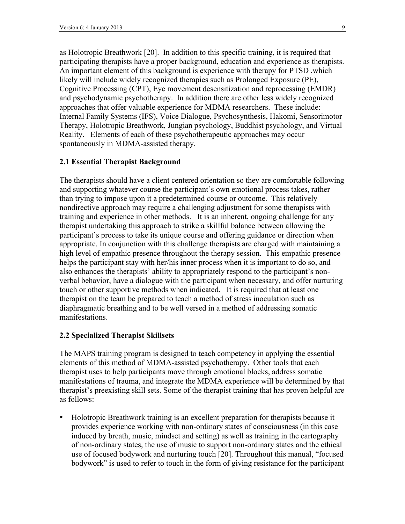as Holotropic Breathwork [20]. In addition to this specific training, it is required that participating therapists have a proper background, education and experience as therapists. An important element of this background is experience with therapy for PTSD ,which likely will include widely recognized therapies such as Prolonged Exposure (PE), Cognitive Processing (CPT), Eye movement desensitization and reprocessing (EMDR) and psychodynamic psychotherapy. In addition there are other less widely recognized approaches that offer valuable experience for MDMA researchers. These include: Internal Family Systems (IFS), Voice Dialogue, Psychosynthesis, Hakomi, Sensorimotor Therapy, Holotropic Breathwork, Jungian psychology, Buddhist psychology, and Virtual Reality. Elements of each of these psychotherapeutic approaches may occur spontaneously in MDMA-assisted therapy.

#### **2.1 Essential Therapist Background**

The therapists should have a client centered orientation so they are comfortable following and supporting whatever course the participant's own emotional process takes, rather than trying to impose upon it a predetermined course or outcome. This relatively nondirective approach may require a challenging adjustment for some therapists with training and experience in other methods. It is an inherent, ongoing challenge for any therapist undertaking this approach to strike a skillful balance between allowing the participant's process to take its unique course and offering guidance or direction when appropriate. In conjunction with this challenge therapists are charged with maintaining a high level of empathic presence throughout the therapy session. This empathic presence helps the participant stay with her/his inner process when it is important to do so, and also enhances the therapists' ability to appropriately respond to the participant's nonverbal behavior, have a dialogue with the participant when necessary, and offer nurturing touch or other supportive methods when indicated. It is required that at least one therapist on the team be prepared to teach a method of stress inoculation such as diaphragmatic breathing and to be well versed in a method of addressing somatic manifestations.

#### **2.2 Specialized Therapist Skillsets**

The MAPS training program is designed to teach competency in applying the essential elements of this method of MDMA-assisted psychotherapy. Other tools that each therapist uses to help participants move through emotional blocks, address somatic manifestations of trauma, and integrate the MDMA experience will be determined by that therapist's preexisting skill sets. Some of the therapist training that has proven helpful are as follows:

• Holotropic Breathwork training is an excellent preparation for therapists because it provides experience working with non-ordinary states of consciousness (in this case induced by breath, music, mindset and setting) as well as training in the cartography of non-ordinary states, the use of music to support non-ordinary states and the ethical use of focused bodywork and nurturing touch [20]. Throughout this manual, "focused bodywork" is used to refer to touch in the form of giving resistance for the participant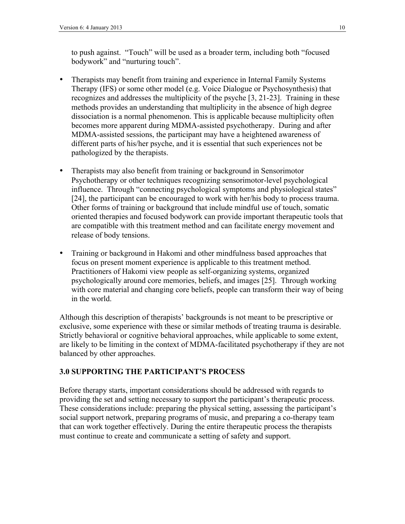to push against. "Touch" will be used as a broader term, including both "focused bodywork" and "nurturing touch".

- Therapists may benefit from training and experience in Internal Family Systems Therapy (IFS) or some other model (e.g. Voice Dialogue or Psychosynthesis) that recognizes and addresses the multiplicity of the psyche [3, 21-23]. Training in these methods provides an understanding that multiplicity in the absence of high degree dissociation is a normal phenomenon. This is applicable because multiplicity often becomes more apparent during MDMA-assisted psychotherapy. During and after MDMA-assisted sessions, the participant may have a heightened awareness of different parts of his/her psyche, and it is essential that such experiences not be pathologized by the therapists.
- Therapists may also benefit from training or background in Sensorimotor Psychotherapy or other techniques recognizing sensorimotor-level psychological influence. Through "connecting psychological symptoms and physiological states" [24], the participant can be encouraged to work with her/his body to process trauma. Other forms of training or background that include mindful use of touch, somatic oriented therapies and focused bodywork can provide important therapeutic tools that are compatible with this treatment method and can facilitate energy movement and release of body tensions.
- Training or background in Hakomi and other mindfulness based approaches that focus on present moment experience is applicable to this treatment method. Practitioners of Hakomi view people as self-organizing systems, organized psychologically around core memories, beliefs, and images [25]. Through working with core material and changing core beliefs, people can transform their way of being in the world.

Although this description of therapists' backgrounds is not meant to be prescriptive or exclusive, some experience with these or similar methods of treating trauma is desirable. Strictly behavioral or cognitive behavioral approaches, while applicable to some extent, are likely to be limiting in the context of MDMA-facilitated psychotherapy if they are not balanced by other approaches.

### **3.0 SUPPORTING THE PARTICIPANT'S PROCESS**

Before therapy starts, important considerations should be addressed with regards to providing the set and setting necessary to support the participant's therapeutic process. These considerations include: preparing the physical setting, assessing the participant's social support network, preparing programs of music, and preparing a co-therapy team that can work together effectively. During the entire therapeutic process the therapists must continue to create and communicate a setting of safety and support.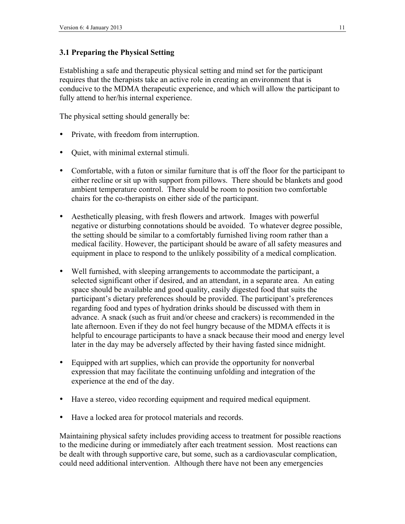### **3.1 Preparing the Physical Setting**

Establishing a safe and therapeutic physical setting and mind set for the participant requires that the therapists take an active role in creating an environment that is conducive to the MDMA therapeutic experience, and which will allow the participant to fully attend to her/his internal experience.

The physical setting should generally be:

- Private, with freedom from interruption.
- Quiet, with minimal external stimuli.
- Comfortable, with a futon or similar furniture that is off the floor for the participant to either recline or sit up with support from pillows. There should be blankets and good ambient temperature control. There should be room to position two comfortable chairs for the co-therapists on either side of the participant.
- Aesthetically pleasing, with fresh flowers and artwork. Images with powerful negative or disturbing connotations should be avoided. To whatever degree possible, the setting should be similar to a comfortably furnished living room rather than a medical facility. However, the participant should be aware of all safety measures and equipment in place to respond to the unlikely possibility of a medical complication.
- Well furnished, with sleeping arrangements to accommodate the participant, a selected significant other if desired, and an attendant, in a separate area. An eating space should be available and good quality, easily digested food that suits the participant's dietary preferences should be provided. The participant's preferences regarding food and types of hydration drinks should be discussed with them in advance. A snack (such as fruit and/or cheese and crackers) is recommended in the late afternoon. Even if they do not feel hungry because of the MDMA effects it is helpful to encourage participants to have a snack because their mood and energy level later in the day may be adversely affected by their having fasted since midnight.
- Equipped with art supplies, which can provide the opportunity for nonverbal expression that may facilitate the continuing unfolding and integration of the experience at the end of the day.
- Have a stereo, video recording equipment and required medical equipment.
- Have a locked area for protocol materials and records.

Maintaining physical safety includes providing access to treatment for possible reactions to the medicine during or immediately after each treatment session. Most reactions can be dealt with through supportive care, but some, such as a cardiovascular complication, could need additional intervention. Although there have not been any emergencies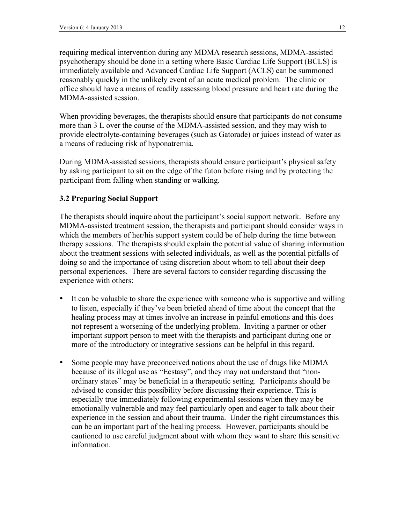requiring medical intervention during any MDMA research sessions, MDMA-assisted psychotherapy should be done in a setting where Basic Cardiac Life Support (BCLS) is immediately available and Advanced Cardiac Life Support (ACLS) can be summoned reasonably quickly in the unlikely event of an acute medical problem. The clinic or office should have a means of readily assessing blood pressure and heart rate during the MDMA-assisted session.

When providing beverages, the therapists should ensure that participants do not consume more than 3 L over the course of the MDMA-assisted session, and they may wish to provide electrolyte-containing beverages (such as Gatorade) or juices instead of water as a means of reducing risk of hyponatremia.

During MDMA-assisted sessions, therapists should ensure participant's physical safety by asking participant to sit on the edge of the futon before rising and by protecting the participant from falling when standing or walking.

### **3.2 Preparing Social Support**

The therapists should inquire about the participant's social support network. Before any MDMA-assisted treatment session, the therapists and participant should consider ways in which the members of her/his support system could be of help during the time between therapy sessions. The therapists should explain the potential value of sharing information about the treatment sessions with selected individuals, as well as the potential pitfalls of doing so and the importance of using discretion about whom to tell about their deep personal experiences. There are several factors to consider regarding discussing the experience with others:

- It can be valuable to share the experience with someone who is supportive and willing to listen, especially if they've been briefed ahead of time about the concept that the healing process may at times involve an increase in painful emotions and this does not represent a worsening of the underlying problem. Inviting a partner or other important support person to meet with the therapists and participant during one or more of the introductory or integrative sessions can be helpful in this regard.
- Some people may have preconceived notions about the use of drugs like MDMA because of its illegal use as "Ecstasy", and they may not understand that "nonordinary states" may be beneficial in a therapeutic setting. Participants should be advised to consider this possibility before discussing their experience. This is especially true immediately following experimental sessions when they may be emotionally vulnerable and may feel particularly open and eager to talk about their experience in the session and about their trauma. Under the right circumstances this can be an important part of the healing process. However, participants should be cautioned to use careful judgment about with whom they want to share this sensitive information.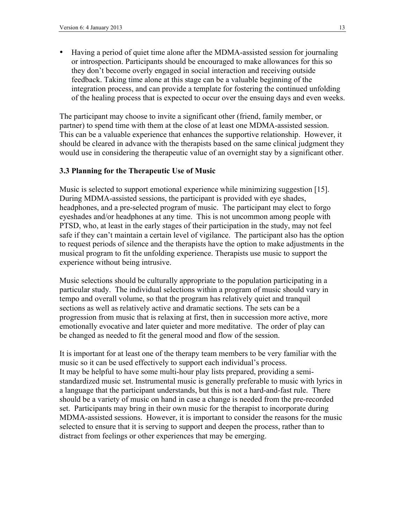• Having a period of quiet time alone after the MDMA-assisted session for journaling or introspection. Participants should be encouraged to make allowances for this so they don't become overly engaged in social interaction and receiving outside feedback. Taking time alone at this stage can be a valuable beginning of the integration process, and can provide a template for fostering the continued unfolding of the healing process that is expected to occur over the ensuing days and even weeks.

The participant may choose to invite a significant other (friend, family member, or partner) to spend time with them at the close of at least one MDMA-assisted session. This can be a valuable experience that enhances the supportive relationship. However, it should be cleared in advance with the therapists based on the same clinical judgment they would use in considering the therapeutic value of an overnight stay by a significant other.

#### **3.3 Planning for the Therapeutic Use of Music**

Music is selected to support emotional experience while minimizing suggestion [15]. During MDMA-assisted sessions, the participant is provided with eye shades, headphones, and a pre-selected program of music. The participant may elect to forgo eyeshades and/or headphones at any time. This is not uncommon among people with PTSD, who, at least in the early stages of their participation in the study, may not feel safe if they can't maintain a certain level of vigilance. The participant also has the option to request periods of silence and the therapists have the option to make adjustments in the musical program to fit the unfolding experience. Therapists use music to support the experience without being intrusive.

Music selections should be culturally appropriate to the population participating in a particular study. The individual selections within a program of music should vary in tempo and overall volume, so that the program has relatively quiet and tranquil sections as well as relatively active and dramatic sections. The sets can be a progression from music that is relaxing at first, then in succession more active, more emotionally evocative and later quieter and more meditative. The order of play can be changed as needed to fit the general mood and flow of the session.

It is important for at least one of the therapy team members to be very familiar with the music so it can be used effectively to support each individual's process. It may be helpful to have some multi-hour play lists prepared, providing a semistandardized music set. Instrumental music is generally preferable to music with lyrics in a language that the participant understands, but this is not a hard-and-fast rule. There should be a variety of music on hand in case a change is needed from the pre-recorded set. Participants may bring in their own music for the therapist to incorporate during MDMA-assisted sessions. However, it is important to consider the reasons for the music selected to ensure that it is serving to support and deepen the process, rather than to distract from feelings or other experiences that may be emerging.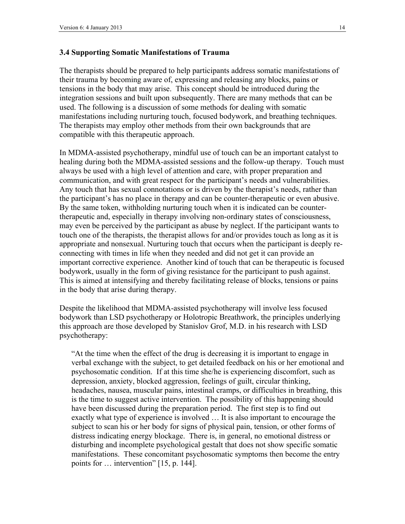#### **3.4 Supporting Somatic Manifestations of Trauma**

The therapists should be prepared to help participants address somatic manifestations of their trauma by becoming aware of, expressing and releasing any blocks, pains or tensions in the body that may arise. This concept should be introduced during the integration sessions and built upon subsequently. There are many methods that can be used. The following is a discussion of some methods for dealing with somatic manifestations including nurturing touch, focused bodywork, and breathing techniques. The therapists may employ other methods from their own backgrounds that are compatible with this therapeutic approach.

In MDMA-assisted psychotherapy, mindful use of touch can be an important catalyst to healing during both the MDMA-assisted sessions and the follow-up therapy. Touch must always be used with a high level of attention and care, with proper preparation and communication, and with great respect for the participant's needs and vulnerabilities. Any touch that has sexual connotations or is driven by the therapist's needs, rather than the participant's has no place in therapy and can be counter-therapeutic or even abusive. By the same token, withholding nurturing touch when it is indicated can be countertherapeutic and, especially in therapy involving non-ordinary states of consciousness, may even be perceived by the participant as abuse by neglect. If the participant wants to touch one of the therapists, the therapist allows for and/or provides touch as long as it is appropriate and nonsexual. Nurturing touch that occurs when the participant is deeply reconnecting with times in life when they needed and did not get it can provide an important corrective experience. Another kind of touch that can be therapeutic is focused bodywork, usually in the form of giving resistance for the participant to push against. This is aimed at intensifying and thereby facilitating release of blocks, tensions or pains in the body that arise during therapy.

Despite the likelihood that MDMA-assisted psychotherapy will involve less focused bodywork than LSD psychotherapy or Holotropic Breathwork, the principles underlying this approach are those developed by Stanislov Grof, M.D. in his research with LSD psychotherapy:

"At the time when the effect of the drug is decreasing it is important to engage in verbal exchange with the subject, to get detailed feedback on his or her emotional and psychosomatic condition. If at this time she/he is experiencing discomfort, such as depression, anxiety, blocked aggression, feelings of guilt, circular thinking, headaches, nausea, muscular pains, intestinal cramps, or difficulties in breathing, this is the time to suggest active intervention. The possibility of this happening should have been discussed during the preparation period. The first step is to find out exactly what type of experience is involved … It is also important to encourage the subject to scan his or her body for signs of physical pain, tension, or other forms of distress indicating energy blockage. There is, in general, no emotional distress or disturbing and incomplete psychological gestalt that does not show specific somatic manifestations. These concomitant psychosomatic symptoms then become the entry points for … intervention" [15, p. 144].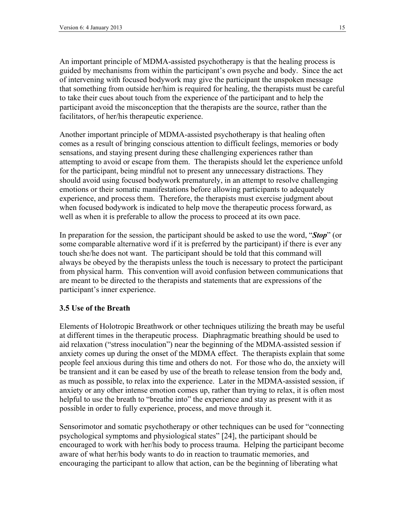An important principle of MDMA-assisted psychotherapy is that the healing process is guided by mechanisms from within the participant's own psyche and body. Since the act of intervening with focused bodywork may give the participant the unspoken message that something from outside her/him is required for healing, the therapists must be careful to take their cues about touch from the experience of the participant and to help the participant avoid the misconception that the therapists are the source, rather than the facilitators, of her/his therapeutic experience.

Another important principle of MDMA-assisted psychotherapy is that healing often comes as a result of bringing conscious attention to difficult feelings, memories or body sensations, and staying present during these challenging experiences rather than attempting to avoid or escape from them. The therapists should let the experience unfold for the participant, being mindful not to present any unnecessary distractions. They should avoid using focused bodywork prematurely, in an attempt to resolve challenging emotions or their somatic manifestations before allowing participants to adequately experience, and process them. Therefore, the therapists must exercise judgment about when focused bodywork is indicated to help move the therapeutic process forward, as well as when it is preferable to allow the process to proceed at its own pace.

In preparation for the session, the participant should be asked to use the word, "*Stop*" (or some comparable alternative word if it is preferred by the participant) if there is ever any touch she/he does not want. The participant should be told that this command will always be obeyed by the therapists unless the touch is necessary to protect the participant from physical harm. This convention will avoid confusion between communications that are meant to be directed to the therapists and statements that are expressions of the participant's inner experience.

#### **3.5 Use of the Breath**

Elements of Holotropic Breathwork or other techniques utilizing the breath may be useful at different times in the therapeutic process. Diaphragmatic breathing should be used to aid relaxation ("stress inoculation") near the beginning of the MDMA-assisted session if anxiety comes up during the onset of the MDMA effect. The therapists explain that some people feel anxious during this time and others do not. For those who do, the anxiety will be transient and it can be eased by use of the breath to release tension from the body and, as much as possible, to relax into the experience. Later in the MDMA-assisted session, if anxiety or any other intense emotion comes up, rather than trying to relax, it is often most helpful to use the breath to "breathe into" the experience and stay as present with it as possible in order to fully experience, process, and move through it.

Sensorimotor and somatic psychotherapy or other techniques can be used for "connecting psychological symptoms and physiological states" [24], the participant should be encouraged to work with her/his body to process trauma. Helping the participant become aware of what her/his body wants to do in reaction to traumatic memories, and encouraging the participant to allow that action, can be the beginning of liberating what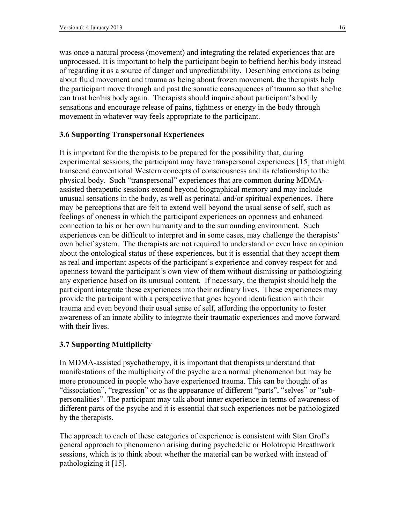was once a natural process (movement) and integrating the related experiences that are unprocessed. It is important to help the participant begin to befriend her/his body instead of regarding it as a source of danger and unpredictability. Describing emotions as being about fluid movement and trauma as being about frozen movement, the therapists help the participant move through and past the somatic consequences of trauma so that she/he can trust her/his body again. Therapists should inquire about participant's bodily sensations and encourage release of pains, tightness or energy in the body through movement in whatever way feels appropriate to the participant.

#### **3.6 Supporting Transpersonal Experiences**

It is important for the therapists to be prepared for the possibility that, during experimental sessions, the participant may have transpersonal experiences [15] that might transcend conventional Western concepts of consciousness and its relationship to the physical body. Such "transpersonal" experiences that are common during MDMAassisted therapeutic sessions extend beyond biographical memory and may include unusual sensations in the body, as well as perinatal and/or spiritual experiences. There may be perceptions that are felt to extend well beyond the usual sense of self, such as feelings of oneness in which the participant experiences an openness and enhanced connection to his or her own humanity and to the surrounding environment. Such experiences can be difficult to interpret and in some cases, may challenge the therapists' own belief system. The therapists are not required to understand or even have an opinion about the ontological status of these experiences, but it is essential that they accept them as real and important aspects of the participant's experience and convey respect for and openness toward the participant's own view of them without dismissing or pathologizing any experience based on its unusual content. If necessary, the therapist should help the participant integrate these experiences into their ordinary lives. These experiences may provide the participant with a perspective that goes beyond identification with their trauma and even beyond their usual sense of self, affording the opportunity to foster awareness of an innate ability to integrate their traumatic experiences and move forward with their lives.

#### **3.7 Supporting Multiplicity**

In MDMA-assisted psychotherapy, it is important that therapists understand that manifestations of the multiplicity of the psyche are a normal phenomenon but may be more pronounced in people who have experienced trauma. This can be thought of as "dissociation", "regression" or as the appearance of different "parts", "selves" or "subpersonalities". The participant may talk about inner experience in terms of awareness of different parts of the psyche and it is essential that such experiences not be pathologized by the therapists.

The approach to each of these categories of experience is consistent with Stan Grof's general approach to phenomenon arising during psychedelic or Holotropic Breathwork sessions, which is to think about whether the material can be worked with instead of pathologizing it [15].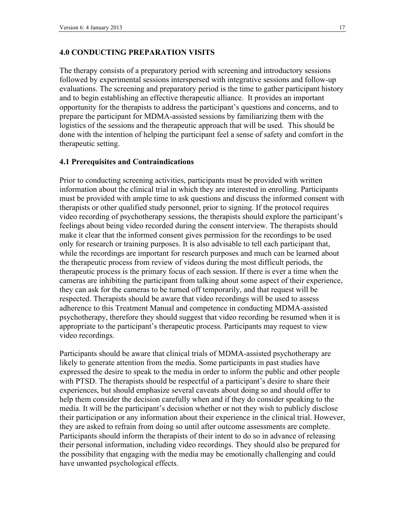#### **4.0 CONDUCTING PREPARATION VISITS**

The therapy consists of a preparatory period with screening and introductory sessions followed by experimental sessions interspersed with integrative sessions and follow-up evaluations. The screening and preparatory period is the time to gather participant history and to begin establishing an effective therapeutic alliance. It provides an important opportunity for the therapists to address the participant's questions and concerns, and to prepare the participant for MDMA-assisted sessions by familiarizing them with the logistics of the sessions and the therapeutic approach that will be used. This should be done with the intention of helping the participant feel a sense of safety and comfort in the therapeutic setting.

#### **4.1 Prerequisites and Contraindications**

Prior to conducting screening activities, participants must be provided with written information about the clinical trial in which they are interested in enrolling. Participants must be provided with ample time to ask questions and discuss the informed consent with therapists or other qualified study personnel, prior to signing. If the protocol requires video recording of psychotherapy sessions, the therapists should explore the participant's feelings about being video recorded during the consent interview. The therapists should make it clear that the informed consent gives permission for the recordings to be used only for research or training purposes. It is also advisable to tell each participant that, while the recordings are important for research purposes and much can be learned about the therapeutic process from review of videos during the most difficult periods, the therapeutic process is the primary focus of each session. If there is ever a time when the cameras are inhibiting the participant from talking about some aspect of their experience, they can ask for the cameras to be turned off temporarily, and that request will be respected. Therapists should be aware that video recordings will be used to assess adherence to this Treatment Manual and competence in conducting MDMA-assisted psychotherapy, therefore they should suggest that video recording be resumed when it is appropriate to the participant's therapeutic process. Participants may request to view video recordings.

Participants should be aware that clinical trials of MDMA-assisted psychotherapy are likely to generate attention from the media. Some participants in past studies have expressed the desire to speak to the media in order to inform the public and other people with PTSD. The therapists should be respectful of a participant's desire to share their experiences, but should emphasize several caveats about doing so and should offer to help them consider the decision carefully when and if they do consider speaking to the media. It will be the participant's decision whether or not they wish to publicly disclose their participation or any information about their experience in the clinical trial. However, they are asked to refrain from doing so until after outcome assessments are complete. Participants should inform the therapists of their intent to do so in advance of releasing their personal information, including video recordings. They should also be prepared for the possibility that engaging with the media may be emotionally challenging and could have unwanted psychological effects.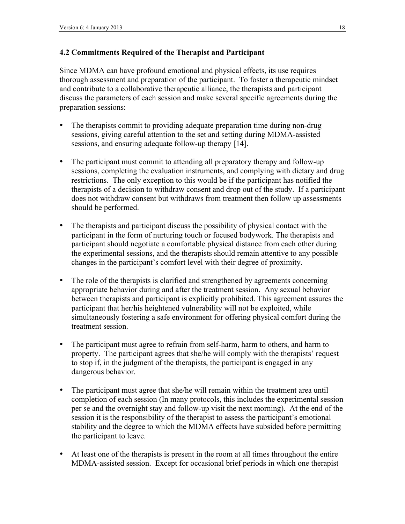### **4.2 Commitments Required of the Therapist and Participant**

Since MDMA can have profound emotional and physical effects, its use requires thorough assessment and preparation of the participant. To foster a therapeutic mindset and contribute to a collaborative therapeutic alliance, the therapists and participant discuss the parameters of each session and make several specific agreements during the preparation sessions:

- The therapists commit to providing adequate preparation time during non-drug sessions, giving careful attention to the set and setting during MDMA-assisted sessions, and ensuring adequate follow-up therapy [14].
- The participant must commit to attending all preparatory therapy and follow-up sessions, completing the evaluation instruments, and complying with dietary and drug restrictions. The only exception to this would be if the participant has notified the therapists of a decision to withdraw consent and drop out of the study. If a participant does not withdraw consent but withdraws from treatment then follow up assessments should be performed.
- The therapists and participant discuss the possibility of physical contact with the participant in the form of nurturing touch or focused bodywork. The therapists and participant should negotiate a comfortable physical distance from each other during the experimental sessions, and the therapists should remain attentive to any possible changes in the participant's comfort level with their degree of proximity.
- The role of the therapists is clarified and strengthened by agreements concerning appropriate behavior during and after the treatment session. Any sexual behavior between therapists and participant is explicitly prohibited. This agreement assures the participant that her/his heightened vulnerability will not be exploited, while simultaneously fostering a safe environment for offering physical comfort during the treatment session.
- The participant must agree to refrain from self-harm, harm to others, and harm to property. The participant agrees that she/he will comply with the therapists' request to stop if, in the judgment of the therapists, the participant is engaged in any dangerous behavior.
- The participant must agree that she/he will remain within the treatment area until completion of each session (In many protocols, this includes the experimental session per se and the overnight stay and follow-up visit the next morning). At the end of the session it is the responsibility of the therapist to assess the participant's emotional stability and the degree to which the MDMA effects have subsided before permitting the participant to leave.
- At least one of the therapists is present in the room at all times throughout the entire MDMA-assisted session. Except for occasional brief periods in which one therapist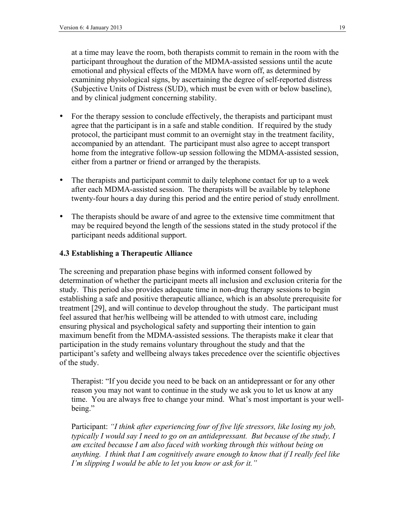at a time may leave the room, both therapists commit to remain in the room with the participant throughout the duration of the MDMA-assisted sessions until the acute emotional and physical effects of the MDMA have worn off, as determined by examining physiological signs, by ascertaining the degree of self-reported distress (Subjective Units of Distress (SUD), which must be even with or below baseline), and by clinical judgment concerning stability.

- For the therapy session to conclude effectively, the therapists and participant must agree that the participant is in a safe and stable condition. If required by the study protocol, the participant must commit to an overnight stay in the treatment facility, accompanied by an attendant. The participant must also agree to accept transport home from the integrative follow-up session following the MDMA-assisted session, either from a partner or friend or arranged by the therapists.
- The therapists and participant commit to daily telephone contact for up to a week after each MDMA-assisted session. The therapists will be available by telephone twenty-four hours a day during this period and the entire period of study enrollment.
- The therapists should be aware of and agree to the extensive time commitment that may be required beyond the length of the sessions stated in the study protocol if the participant needs additional support.

#### **4.3 Establishing a Therapeutic Alliance**

The screening and preparation phase begins with informed consent followed by determination of whether the participant meets all inclusion and exclusion criteria for the study. This period also provides adequate time in non-drug therapy sessions to begin establishing a safe and positive therapeutic alliance, which is an absolute prerequisite for treatment [29], and will continue to develop throughout the study. The participant must feel assured that her/his wellbeing will be attended to with utmost care, including ensuring physical and psychological safety and supporting their intention to gain maximum benefit from the MDMA-assisted sessions. The therapists make it clear that participation in the study remains voluntary throughout the study and that the participant's safety and wellbeing always takes precedence over the scientific objectives of the study.

Therapist: "If you decide you need to be back on an antidepressant or for any other reason you may not want to continue in the study we ask you to let us know at any time. You are always free to change your mind. What's most important is your wellbeing."

Participant: *"I think after experiencing four of five life stressors, like losing my job, typically I would say I need to go on an antidepressant. But because of the study, I am excited because I am also faced with working through this without being on anything. I think that I am cognitively aware enough to know that if I really feel like I'm slipping I would be able to let you know or ask for it."*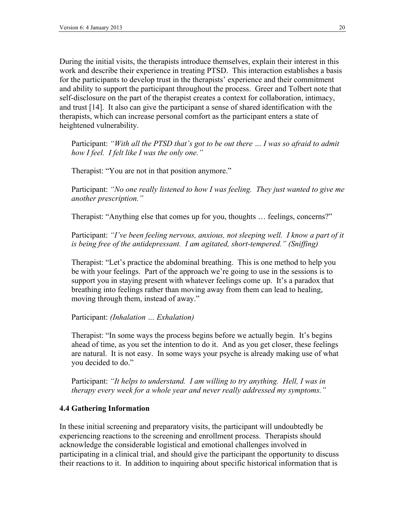During the initial visits, the therapists introduce themselves, explain their interest in this work and describe their experience in treating PTSD. This interaction establishes a basis for the participants to develop trust in the therapists' experience and their commitment and ability to support the participant throughout the process. Greer and Tolbert note that self-disclosure on the part of the therapist creates a context for collaboration, intimacy, and trust [14]. It also can give the participant a sense of shared identification with the therapists, which can increase personal comfort as the participant enters a state of heightened vulnerability.

Participant: *"With all the PTSD that's got to be out there … I was so afraid to admit how I feel. I felt like I was the only one."*

Therapist: "You are not in that position anymore."

Participant: *"No one really listened to how I was feeling. They just wanted to give me another prescription."*

Therapist: "Anything else that comes up for you, thoughts … feelings, concerns?"

Participant: *"I've been feeling nervous, anxious, not sleeping well. I know a part of it is being free of the antidepressant. I am agitated, short-tempered." (Sniffing)*

Therapist: "Let's practice the abdominal breathing. This is one method to help you be with your feelings. Part of the approach we're going to use in the sessions is to support you in staying present with whatever feelings come up. It's a paradox that breathing into feelings rather than moving away from them can lead to healing, moving through them, instead of away."

Participant: *(Inhalation … Exhalation)*

Therapist: "In some ways the process begins before we actually begin. It's begins ahead of time, as you set the intention to do it. And as you get closer, these feelings are natural. It is not easy. In some ways your psyche is already making use of what you decided to do."

Participant: *"It helps to understand. I am willing to try anything. Hell, I was in therapy every week for a whole year and never really addressed my symptoms."*

#### **4.4 Gathering Information**

In these initial screening and preparatory visits, the participant will undoubtedly be experiencing reactions to the screening and enrollment process. Therapists should acknowledge the considerable logistical and emotional challenges involved in participating in a clinical trial, and should give the participant the opportunity to discuss their reactions to it. In addition to inquiring about specific historical information that is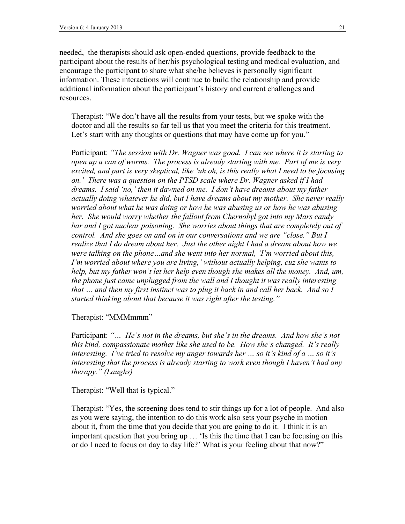needed, the therapists should ask open-ended questions, provide feedback to the participant about the results of her/his psychological testing and medical evaluation, and encourage the participant to share what she/he believes is personally significant information. These interactions will continue to build the relationship and provide additional information about the participant's history and current challenges and resources.

Therapist: "We don't have all the results from your tests, but we spoke with the doctor and all the results so far tell us that you meet the criteria for this treatment. Let's start with any thoughts or questions that may have come up for you."

Participant: *"The session with Dr. Wagner was good. I can see where it is starting to open up a can of worms. The process is already starting with me. Part of me is very excited, and part is very skeptical, like 'uh oh, is this really what I need to be focusing on.' There was a question on the PTSD scale where Dr. Wagner asked if I had dreams. I said 'no,' then it dawned on me. I don't have dreams about my father actually doing whatever he did, but I have dreams about my mother. She never really worried about what he was doing or how he was abusing us or how he was abusing her. She would worry whether the fallout from Chernobyl got into my Mars candy* bar and I got nuclear poisoning. She worries about things that are completely out of *control. And she goes on and on in our conversations and we are "close." But I realize that I do dream about her. Just the other night I had a dream about how we were talking on the phone…and she went into her normal, 'I'm worried about this, I'm worried about where you are living,' without actually helping, cuz she wants to help, but my father won't let her help even though she makes all the money. And, um, the phone just came unplugged from the wall and I thought it was really interesting that … and then my first instinct was to plug it back in and call her back. And so I started thinking about that because it was right after the testing."*

#### Therapist: "MMMmmm"

Participant: *"… He's not in the dreams, but she's in the dreams. And how she's not this kind, compassionate mother like she used to be. How she's changed. It's really interesting. I've tried to resolve my anger towards her … so it's kind of a … so it's interesting that the process is already starting to work even though I haven't had any therapy." (Laughs)*

Therapist: "Well that is typical."

Therapist: "Yes, the screening does tend to stir things up for a lot of people. And also as you were saying, the intention to do this work also sets your psyche in motion about it, from the time that you decide that you are going to do it. I think it is an important question that you bring up … 'Is this the time that I can be focusing on this or do I need to focus on day to day life?' What is your feeling about that now?"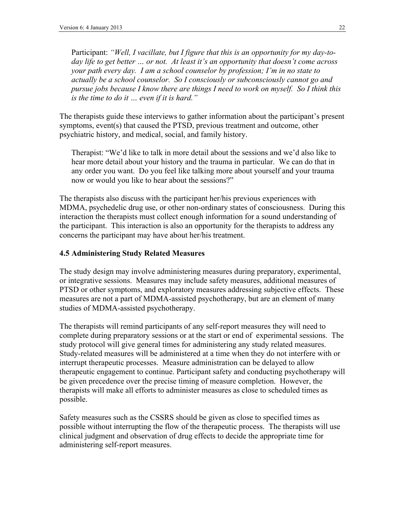Participant: *"Well, I vacillate, but I figure that this is an opportunity for my day-today life to get better … or not. At least it's an opportunity that doesn't come across your path every day. I am a school counselor by profession; I'm in no state to actually be a school counselor. So I consciously or subconsciously cannot go and pursue jobs because I know there are things I need to work on myself. So I think this is the time to do it … even if it is hard."*

The therapists guide these interviews to gather information about the participant's present symptoms, event(s) that caused the PTSD, previous treatment and outcome, other psychiatric history, and medical, social, and family history.

Therapist: "We'd like to talk in more detail about the sessions and we'd also like to hear more detail about your history and the trauma in particular. We can do that in any order you want. Do you feel like talking more about yourself and your trauma now or would you like to hear about the sessions?"

The therapists also discuss with the participant her/his previous experiences with MDMA, psychedelic drug use, or other non-ordinary states of consciousness. During this interaction the therapists must collect enough information for a sound understanding of the participant. This interaction is also an opportunity for the therapists to address any concerns the participant may have about her/his treatment.

#### **4.5 Administering Study Related Measures**

The study design may involve administering measures during preparatory, experimental, or integrative sessions. Measures may include safety measures, additional measures of PTSD or other symptoms, and exploratory measures addressing subjective effects. These measures are not a part of MDMA-assisted psychotherapy, but are an element of many studies of MDMA-assisted psychotherapy.

The therapists will remind participants of any self-report measures they will need to complete during preparatory sessions or at the start or end of experimental sessions. The study protocol will give general times for administering any study related measures. Study-related measures will be administered at a time when they do not interfere with or interrupt therapeutic processes. Measure administration can be delayed to allow therapeutic engagement to continue. Participant safety and conducting psychotherapy will be given precedence over the precise timing of measure completion. However, the therapists will make all efforts to administer measures as close to scheduled times as possible.

Safety measures such as the CSSRS should be given as close to specified times as possible without interrupting the flow of the therapeutic process. The therapists will use clinical judgment and observation of drug effects to decide the appropriate time for administering self-report measures.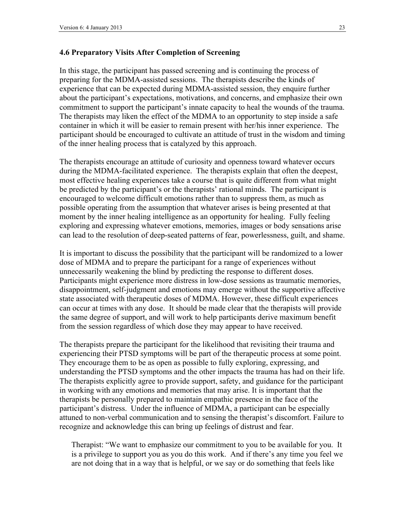#### **4.6 Preparatory Visits After Completion of Screening**

In this stage, the participant has passed screening and is continuing the process of preparing for the MDMA-assisted sessions. The therapists describe the kinds of experience that can be expected during MDMA-assisted session, they enquire further about the participant's expectations, motivations, and concerns, and emphasize their own commitment to support the participant's innate capacity to heal the wounds of the trauma. The therapists may liken the effect of the MDMA to an opportunity to step inside a safe container in which it will be easier to remain present with her/his inner experience. The participant should be encouraged to cultivate an attitude of trust in the wisdom and timing of the inner healing process that is catalyzed by this approach.

The therapists encourage an attitude of curiosity and openness toward whatever occurs during the MDMA-facilitated experience. The therapists explain that often the deepest, most effective healing experiences take a course that is quite different from what might be predicted by the participant's or the therapists' rational minds. The participant is encouraged to welcome difficult emotions rather than to suppress them, as much as possible operating from the assumption that whatever arises is being presented at that moment by the inner healing intelligence as an opportunity for healing. Fully feeling exploring and expressing whatever emotions, memories, images or body sensations arise can lead to the resolution of deep-seated patterns of fear, powerlessness, guilt, and shame.

It is important to discuss the possibility that the participant will be randomized to a lower dose of MDMA and to prepare the participant for a range of experiences without unnecessarily weakening the blind by predicting the response to different doses. Participants might experience more distress in low-dose sessions as traumatic memories, disappointment, self-judgment and emotions may emerge without the supportive affective state associated with therapeutic doses of MDMA. However, these difficult experiences can occur at times with any dose. It should be made clear that the therapists will provide the same degree of support, and will work to help participants derive maximum benefit from the session regardless of which dose they may appear to have received.

The therapists prepare the participant for the likelihood that revisiting their trauma and experiencing their PTSD symptoms will be part of the therapeutic process at some point. They encourage them to be as open as possible to fully exploring, expressing, and understanding the PTSD symptoms and the other impacts the trauma has had on their life. The therapists explicitly agree to provide support, safety, and guidance for the participant in working with any emotions and memories that may arise. It is important that the therapists be personally prepared to maintain empathic presence in the face of the participant's distress. Under the influence of MDMA, a participant can be especially attuned to non-verbal communication and to sensing the therapist's discomfort. Failure to recognize and acknowledge this can bring up feelings of distrust and fear.

Therapist: "We want to emphasize our commitment to you to be available for you. It is a privilege to support you as you do this work. And if there's any time you feel we are not doing that in a way that is helpful, or we say or do something that feels like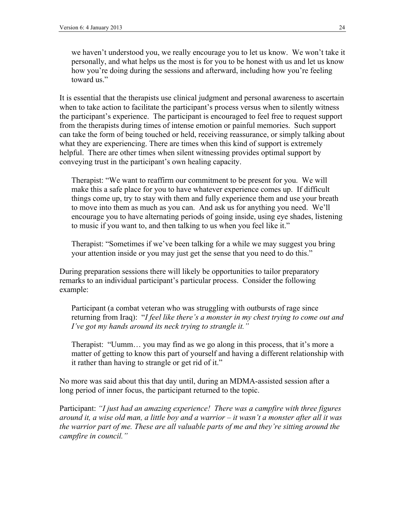we haven't understood you, we really encourage you to let us know. We won't take it personally, and what helps us the most is for you to be honest with us and let us know how you're doing during the sessions and afterward, including how you're feeling toward us."

It is essential that the therapists use clinical judgment and personal awareness to ascertain when to take action to facilitate the participant's process versus when to silently witness the participant's experience. The participant is encouraged to feel free to request support from the therapists during times of intense emotion or painful memories. Such support can take the form of being touched or held, receiving reassurance, or simply talking about what they are experiencing. There are times when this kind of support is extremely helpful. There are other times when silent witnessing provides optimal support by conveying trust in the participant's own healing capacity.

Therapist: "We want to reaffirm our commitment to be present for you. We will make this a safe place for you to have whatever experience comes up. If difficult things come up, try to stay with them and fully experience them and use your breath to move into them as much as you can. And ask us for anything you need. We'll encourage you to have alternating periods of going inside, using eye shades, listening to music if you want to, and then talking to us when you feel like it."

Therapist: "Sometimes if we've been talking for a while we may suggest you bring your attention inside or you may just get the sense that you need to do this."

During preparation sessions there will likely be opportunities to tailor preparatory remarks to an individual participant's particular process. Consider the following example:

Participant (a combat veteran who was struggling with outbursts of rage since returning from Iraq): "*I feel like there's a monster in my chest trying to come out and I've got my hands around its neck trying to strangle it."*

Therapist: "Uumm… you may find as we go along in this process, that it's more a matter of getting to know this part of yourself and having a different relationship with it rather than having to strangle or get rid of it."

No more was said about this that day until, during an MDMA-assisted session after a long period of inner focus, the participant returned to the topic.

Participant: *"I just had an amazing experience! There was a campfire with three figures around it, a wise old man, a little boy and a warrior – it wasn't a monster after all it was the warrior part of me. These are all valuable parts of me and they're sitting around the campfire in council."*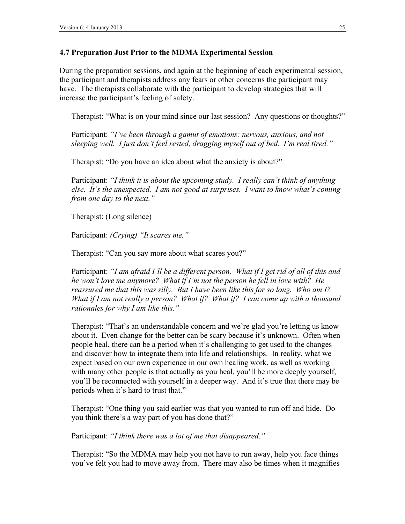### **4.7 Preparation Just Prior to the MDMA Experimental Session**

During the preparation sessions, and again at the beginning of each experimental session, the participant and therapists address any fears or other concerns the participant may have. The therapists collaborate with the participant to develop strategies that will increase the participant's feeling of safety.

Therapist: "What is on your mind since our last session? Any questions or thoughts?"

Participant: *"I've been through a gamut of emotions: nervous, anxious, and not sleeping well. I just don't feel rested, dragging myself out of bed. I'm real tired."*

Therapist: "Do you have an idea about what the anxiety is about?"

Participant: *"I think it is about the upcoming study. I really can't think of anything else. It's the unexpected. I am not good at surprises. I want to know what's coming from one day to the next."* 

Therapist: (Long silence)

Participant: *(Crying) "It scares me."*

Therapist: "Can you say more about what scares you?"

Participant: *"I am afraid I'll be a different person. What if I get rid of all of this and he won't love me anymore? What if I'm not the person he fell in love with? He reassured me that this was silly. But I have been like this for so long. Who am I? What if I am not really a person? What if? What if? I can come up with a thousand rationales for why I am like this."*

Therapist: "That's an understandable concern and we're glad you're letting us know about it. Even change for the better can be scary because it's unknown. Often when people heal, there can be a period when it's challenging to get used to the changes and discover how to integrate them into life and relationships. In reality, what we expect based on our own experience in our own healing work, as well as working with many other people is that actually as you heal, you'll be more deeply yourself, you'll be reconnected with yourself in a deeper way. And it's true that there may be periods when it's hard to trust that."

Therapist: "One thing you said earlier was that you wanted to run off and hide. Do you think there's a way part of you has done that?"

Participant: *"I think there was a lot of me that disappeared."*

Therapist: "So the MDMA may help you not have to run away, help you face things you've felt you had to move away from. There may also be times when it magnifies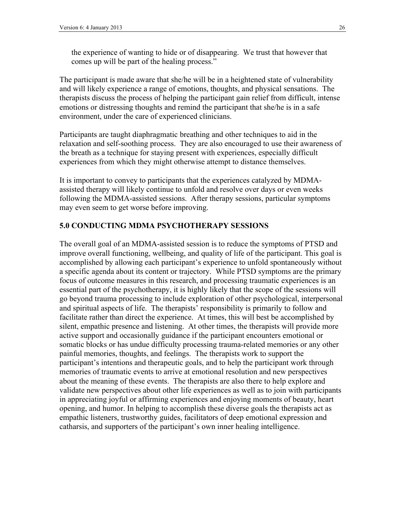the experience of wanting to hide or of disappearing. We trust that however that comes up will be part of the healing process."

The participant is made aware that she/he will be in a heightened state of vulnerability and will likely experience a range of emotions, thoughts, and physical sensations. The therapists discuss the process of helping the participant gain relief from difficult, intense emotions or distressing thoughts and remind the participant that she/he is in a safe environment, under the care of experienced clinicians.

Participants are taught diaphragmatic breathing and other techniques to aid in the relaxation and self-soothing process. They are also encouraged to use their awareness of the breath as a technique for staying present with experiences, especially difficult experiences from which they might otherwise attempt to distance themselves.

It is important to convey to participants that the experiences catalyzed by MDMAassisted therapy will likely continue to unfold and resolve over days or even weeks following the MDMA-assisted sessions. After therapy sessions, particular symptoms may even seem to get worse before improving.

### **5.0 CONDUCTING MDMA PSYCHOTHERAPY SESSIONS**

The overall goal of an MDMA-assisted session is to reduce the symptoms of PTSD and improve overall functioning, wellbeing, and quality of life of the participant. This goal is accomplished by allowing each participant's experience to unfold spontaneously without a specific agenda about its content or trajectory. While PTSD symptoms are the primary focus of outcome measures in this research, and processing traumatic experiences is an essential part of the psychotherapy, it is highly likely that the scope of the sessions will go beyond trauma processing to include exploration of other psychological, interpersonal and spiritual aspects of life. The therapists' responsibility is primarily to follow and facilitate rather than direct the experience. At times, this will best be accomplished by silent, empathic presence and listening. At other times, the therapists will provide more active support and occasionally guidance if the participant encounters emotional or somatic blocks or has undue difficulty processing trauma-related memories or any other painful memories, thoughts, and feelings. The therapists work to support the participant's intentions and therapeutic goals, and to help the participant work through memories of traumatic events to arrive at emotional resolution and new perspectives about the meaning of these events. The therapists are also there to help explore and validate new perspectives about other life experiences as well as to join with participants in appreciating joyful or affirming experiences and enjoying moments of beauty, heart opening, and humor. In helping to accomplish these diverse goals the therapists act as empathic listeners, trustworthy guides, facilitators of deep emotional expression and catharsis, and supporters of the participant's own inner healing intelligence.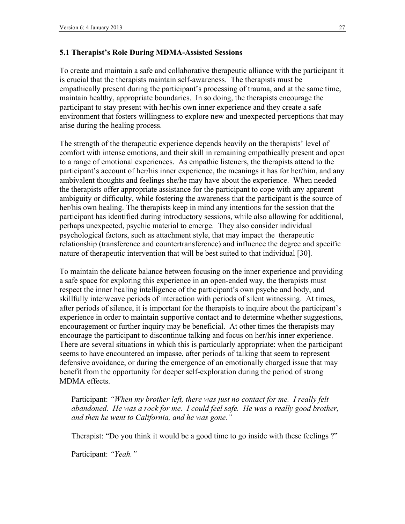### **5.1 Therapist's Role During MDMA-Assisted Sessions**

To create and maintain a safe and collaborative therapeutic alliance with the participant it is crucial that the therapists maintain self-awareness. The therapists must be empathically present during the participant's processing of trauma, and at the same time, maintain healthy, appropriate boundaries. In so doing, the therapists encourage the participant to stay present with her/his own inner experience and they create a safe environment that fosters willingness to explore new and unexpected perceptions that may arise during the healing process.

The strength of the therapeutic experience depends heavily on the therapists' level of comfort with intense emotions, and their skill in remaining empathically present and open to a range of emotional experiences. As empathic listeners, the therapists attend to the participant's account of her/his inner experience, the meanings it has for her/him, and any ambivalent thoughts and feelings she/he may have about the experience. When needed the therapists offer appropriate assistance for the participant to cope with any apparent ambiguity or difficulty, while fostering the awareness that the participant is the source of her/his own healing. The therapists keep in mind any intentions for the session that the participant has identified during introductory sessions, while also allowing for additional, perhaps unexpected, psychic material to emerge. They also consider individual psychological factors, such as attachment style, that may impact the therapeutic relationship (transference and countertransference) and influence the degree and specific nature of therapeutic intervention that will be best suited to that individual [30].

To maintain the delicate balance between focusing on the inner experience and providing a safe space for exploring this experience in an open-ended way, the therapists must respect the inner healing intelligence of the participant's own psyche and body, and skillfully interweave periods of interaction with periods of silent witnessing. At times, after periods of silence, it is important for the therapists to inquire about the participant's experience in order to maintain supportive contact and to determine whether suggestions, encouragement or further inquiry may be beneficial. At other times the therapists may encourage the participant to discontinue talking and focus on her/his inner experience. There are several situations in which this is particularly appropriate: when the participant seems to have encountered an impasse, after periods of talking that seem to represent defensive avoidance, or during the emergence of an emotionally charged issue that may benefit from the opportunity for deeper self-exploration during the period of strong MDMA effects.

Participant: *"When my brother left, there was just no contact for me. I really felt abandoned. He was a rock for me. I could feel safe. He was a really good brother, and then he went to California, and he was gone."*

Therapist: "Do you think it would be a good time to go inside with these feelings ?"

Participant: *"Yeah."*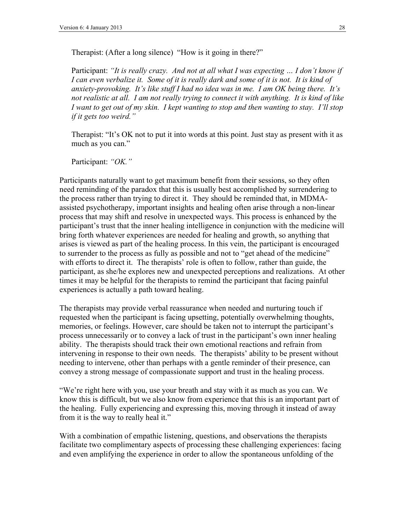Therapist: (After a long silence) "How is it going in there?"

Participant: *"It is really crazy. And not at all what I was expecting … I don't know if I can even verbalize it. Some of it is really dark and some of it is not. It is kind of anxiety-provoking. It's like stuff I had no idea was in me. I am OK being there. It's not realistic at all. I am not really trying to connect it with anything. It is kind of like I want to get out of my skin. I kept wanting to stop and then wanting to stay. I'll stop if it gets too weird."*

Therapist: "It's OK not to put it into words at this point. Just stay as present with it as much as you can."

Participant: *"OK."*

Participants naturally want to get maximum benefit from their sessions, so they often need reminding of the paradox that this is usually best accomplished by surrendering to the process rather than trying to direct it. They should be reminded that, in MDMAassisted psychotherapy, important insights and healing often arise through a non-linear process that may shift and resolve in unexpected ways. This process is enhanced by the participant's trust that the inner healing intelligence in conjunction with the medicine will bring forth whatever experiences are needed for healing and growth, so anything that arises is viewed as part of the healing process. In this vein, the participant is encouraged to surrender to the process as fully as possible and not to "get ahead of the medicine" with efforts to direct it. The therapists' role is often to follow, rather than guide, the participant, as she/he explores new and unexpected perceptions and realizations. At other times it may be helpful for the therapists to remind the participant that facing painful experiences is actually a path toward healing.

The therapists may provide verbal reassurance when needed and nurturing touch if requested when the participant is facing upsetting, potentially overwhelming thoughts, memories, or feelings. However, care should be taken not to interrupt the participant's process unnecessarily or to convey a lack of trust in the participant's own inner healing ability. The therapists should track their own emotional reactions and refrain from intervening in response to their own needs. The therapists' ability to be present without needing to intervene, other than perhaps with a gentle reminder of their presence, can convey a strong message of compassionate support and trust in the healing process.

"We're right here with you, use your breath and stay with it as much as you can. We know this is difficult, but we also know from experience that this is an important part of the healing. Fully experiencing and expressing this, moving through it instead of away from it is the way to really heal it."

With a combination of empathic listening, questions, and observations the therapists facilitate two complimentary aspects of processing these challenging experiences: facing and even amplifying the experience in order to allow the spontaneous unfolding of the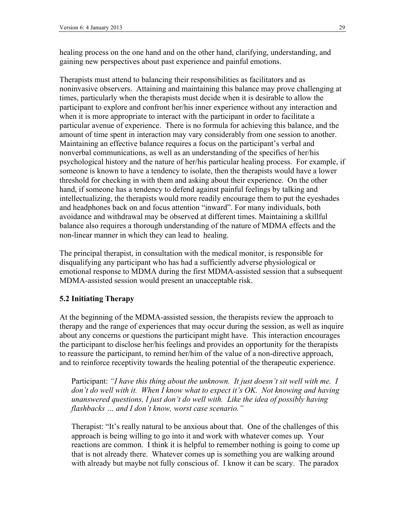healing process on the one hand and on the other hand, clarifying, understanding, and gaining new perspectives about past experience and painful emotions.

Therapists must attend to balancing their responsibilities as facilitators and as noninvasive observers. Attaining and maintaining this balance may prove challenging at times, particularly when the therapists must decide when it is desirable to allow the participant to explore and confront her/his inner experience without any interaction and when it is more appropriate to interact with the participant in order to facilitate a particular avenue of experience. There is no formula for achieving this balance, and the amount of time spent in interaction may vary considerably from one session to another. Maintaining an effective balance requires a focus on the participant's verbal and nonverbal communications, as well as an understanding of the specifics of her/his psychological history and the nature of her/his particular healing process. For example, if someone is known to have a tendency to isolate, then the therapists would have a lower threshold for checking in with them and asking about their experience. On the other hand, if someone has a tendency to defend against painful feelings by talking and intellectualizing, the therapists would more readily encourage them to put the eyeshades and headphones back on and focus attention "inward". For many individuals, both avoidance and withdrawal may be observed at different times. Maintaining a skillful balance also requires a thorough understanding of the nature of MDMA effects and the non-linear manner in which they can lead to healing.

The principal therapist, in consultation with the medical monitor, is responsible for disqualifying any participant who has had a sufficiently adverse physiological or emotional response to MDMA during the first MDMA-assisted session that a subsequent MDMA-assisted session would present an unacceptable risk.

### **5.2 Initiating Therapy**

At the beginning of the MDMA-assisted session, the therapists review the approach to therapy and the range of experiences that may occur during the session, as well as inquire about any concerns or questions the participant might have. This interaction encourages the participant to disclose her/his feelings and provides an opportunity for the therapists to reassure the participant, to remind her/him of the value of a non-directive approach, and to reinforce receptivity towards the healing potential of the therapeutic experience.

Participant: *"I have this thing about the unknown. It just doesn't sit well with me. I don't do well with it. When I know what to expect it's OK. Not knowing and having unanswered questions, I just don't do well with. Like the idea of possibly having flashbacks … and I don't know, worst case scenario."*

Therapist: "It's really natural to be anxious about that. One of the challenges of this approach is being willing to go into it and work with whatever comes up. Your reactions are common. I think it is helpful to remember nothing is going to come up that is not already there. Whatever comes up is something you are walking around with already but maybe not fully conscious of. I know it can be scary. The paradox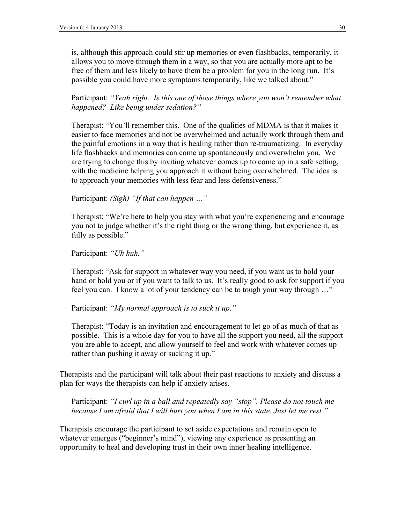is, although this approach could stir up memories or even flashbacks, temporarily, it allows you to move through them in a way, so that you are actually more apt to be free of them and less likely to have them be a problem for you in the long run. It's possible you could have more symptoms temporarily, like we talked about."

Participant: *"Yeah right. Is this one of those things where you won't remember what happened? Like being under sedation?"*

Therapist: "You'll remember this. One of the qualities of MDMA is that it makes it easier to face memories and not be overwhelmed and actually work through them and the painful emotions in a way that is healing rather than re-traumatizing. In everyday life flashbacks and memories can come up spontaneously and overwhelm you. We are trying to change this by inviting whatever comes up to come up in a safe setting, with the medicine helping you approach it without being overwhelmed. The idea is to approach your memories with less fear and less defensiveness."

Participant: *(Sigh) "If that can happen …"*

Therapist: "We're here to help you stay with what you're experiencing and encourage you not to judge whether it's the right thing or the wrong thing, but experience it, as fully as possible."

Participant: *"Uh huh."*

Therapist: "Ask for support in whatever way you need, if you want us to hold your hand or hold you or if you want to talk to us. It's really good to ask for support if you feel you can. I know a lot of your tendency can be to tough your way through …"

Participant: *"My normal approach is to suck it up."*

Therapist: "Today is an invitation and encouragement to let go of as much of that as possible. This is a whole day for you to have all the support you need, all the support you are able to accept, and allow yourself to feel and work with whatever comes up rather than pushing it away or sucking it up."

Therapists and the participant will talk about their past reactions to anxiety and discuss a plan for ways the therapists can help if anxiety arises.

Participant: *"I curl up in a ball and repeatedly say "stop". Please do not touch me because I am afraid that I will hurt you when I am in this state. Just let me rest."*

Therapists encourage the participant to set aside expectations and remain open to whatever emerges ("beginner's mind"), viewing any experience as presenting an opportunity to heal and developing trust in their own inner healing intelligence.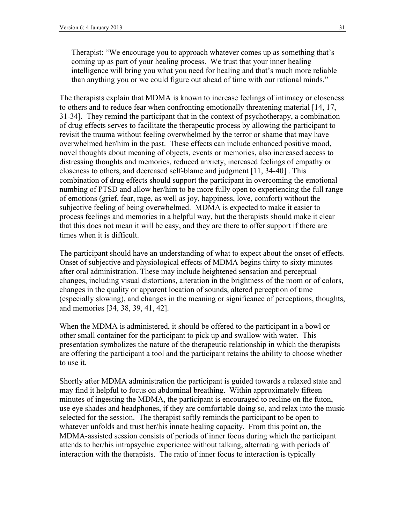Therapist: "We encourage you to approach whatever comes up as something that's coming up as part of your healing process. We trust that your inner healing intelligence will bring you what you need for healing and that's much more reliable than anything you or we could figure out ahead of time with our rational minds."

The therapists explain that MDMA is known to increase feelings of intimacy or closeness to others and to reduce fear when confronting emotionally threatening material [14, 17, 31-34]. They remind the participant that in the context of psychotherapy, a combination of drug effects serves to facilitate the therapeutic process by allowing the participant to revisit the trauma without feeling overwhelmed by the terror or shame that may have overwhelmed her/him in the past. These effects can include enhanced positive mood, novel thoughts about meaning of objects, events or memories, also increased access to distressing thoughts and memories, reduced anxiety, increased feelings of empathy or closeness to others, and decreased self-blame and judgment [11, 34-40] . This combination of drug effects should support the participant in overcoming the emotional numbing of PTSD and allow her/him to be more fully open to experiencing the full range of emotions (grief, fear, rage, as well as joy, happiness, love, comfort) without the subjective feeling of being overwhelmed. MDMA is expected to make it easier to process feelings and memories in a helpful way, but the therapists should make it clear that this does not mean it will be easy, and they are there to offer support if there are times when it is difficult.

The participant should have an understanding of what to expect about the onset of effects. Onset of subjective and physiological effects of MDMA begins thirty to sixty minutes after oral administration. These may include heightened sensation and perceptual changes, including visual distortions, alteration in the brightness of the room or of colors, changes in the quality or apparent location of sounds, altered perception of time (especially slowing), and changes in the meaning or significance of perceptions, thoughts, and memories [34, 38, 39, 41, 42].

When the MDMA is administered, it should be offered to the participant in a bowl or other small container for the participant to pick up and swallow with water. This presentation symbolizes the nature of the therapeutic relationship in which the therapists are offering the participant a tool and the participant retains the ability to choose whether to use it.

Shortly after MDMA administration the participant is guided towards a relaxed state and may find it helpful to focus on abdominal breathing. Within approximately fifteen minutes of ingesting the MDMA, the participant is encouraged to recline on the futon, use eye shades and headphones, if they are comfortable doing so, and relax into the music selected for the session. The therapist softly reminds the participant to be open to whatever unfolds and trust her/his innate healing capacity. From this point on, the MDMA-assisted session consists of periods of inner focus during which the participant attends to her/his intrapsychic experience without talking, alternating with periods of interaction with the therapists. The ratio of inner focus to interaction is typically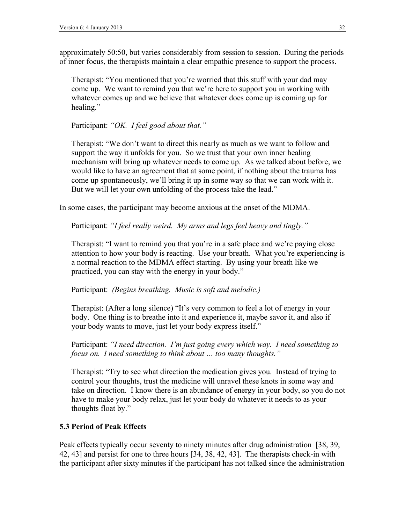approximately 50:50, but varies considerably from session to session. During the periods of inner focus, the therapists maintain a clear empathic presence to support the process.

Therapist: "You mentioned that you're worried that this stuff with your dad may come up. We want to remind you that we're here to support you in working with whatever comes up and we believe that whatever does come up is coming up for healing."

Participant: *"OK. I feel good about that."*

Therapist: "We don't want to direct this nearly as much as we want to follow and support the way it unfolds for you. So we trust that your own inner healing mechanism will bring up whatever needs to come up. As we talked about before, we would like to have an agreement that at some point, if nothing about the trauma has come up spontaneously, we'll bring it up in some way so that we can work with it. But we will let your own unfolding of the process take the lead."

In some cases, the participant may become anxious at the onset of the MDMA.

Participant: *"I feel really weird. My arms and legs feel heavy and tingly."*

Therapist: "I want to remind you that you're in a safe place and we're paying close attention to how your body is reacting. Use your breath. What you're experiencing is a normal reaction to the MDMA effect starting. By using your breath like we practiced, you can stay with the energy in your body."

#### Participant: *(Begins breathing. Music is soft and melodic.)*

Therapist: (After a long silence) "It's very common to feel a lot of energy in your body. One thing is to breathe into it and experience it, maybe savor it, and also if your body wants to move, just let your body express itself."

Participant: *"I need direction. I'm just going every which way. I need something to focus on. I need something to think about … too many thoughts."*

Therapist: "Try to see what direction the medication gives you. Instead of trying to control your thoughts, trust the medicine will unravel these knots in some way and take on direction. I know there is an abundance of energy in your body, so you do not have to make your body relax, just let your body do whatever it needs to as your thoughts float by."

### **5.3 Period of Peak Effects**

Peak effects typically occur seventy to ninety minutes after drug administration [38, 39, 42, 43] and persist for one to three hours [34, 38, 42, 43]. The therapists check-in with the participant after sixty minutes if the participant has not talked since the administration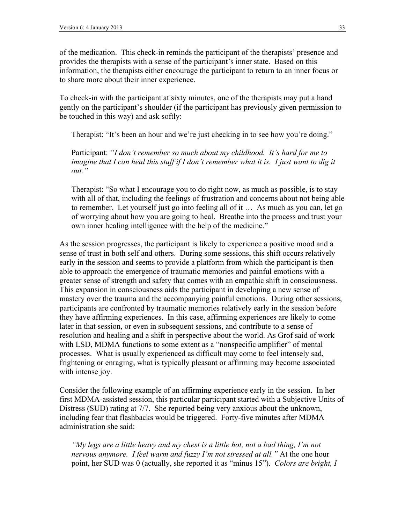of the medication. This check-in reminds the participant of the therapists' presence and provides the therapists with a sense of the participant's inner state. Based on this information, the therapists either encourage the participant to return to an inner focus or to share more about their inner experience.

To check-in with the participant at sixty minutes, one of the therapists may put a hand gently on the participant's shoulder (if the participant has previously given permission to be touched in this way) and ask softly:

Therapist: "It's been an hour and we're just checking in to see how you're doing."

Participant: *"I don't remember so much about my childhood. It's hard for me to imagine that I can heal this stuff if I don't remember what it is. I just want to dig it out."* 

Therapist: "So what I encourage you to do right now, as much as possible, is to stay with all of that, including the feelings of frustration and concerns about not being able to remember. Let yourself just go into feeling all of it … As much as you can, let go of worrying about how you are going to heal. Breathe into the process and trust your own inner healing intelligence with the help of the medicine."

As the session progresses, the participant is likely to experience a positive mood and a sense of trust in both self and others. During some sessions, this shift occurs relatively early in the session and seems to provide a platform from which the participant is then able to approach the emergence of traumatic memories and painful emotions with a greater sense of strength and safety that comes with an empathic shift in consciousness. This expansion in consciousness aids the participant in developing a new sense of mastery over the trauma and the accompanying painful emotions. During other sessions, participants are confronted by traumatic memories relatively early in the session before they have affirming experiences. In this case, affirming experiences are likely to come later in that session, or even in subsequent sessions, and contribute to a sense of resolution and healing and a shift in perspective about the world. As Grof said of work with LSD, MDMA functions to some extent as a "nonspecific amplifier" of mental processes. What is usually experienced as difficult may come to feel intensely sad, frightening or enraging, what is typically pleasant or affirming may become associated with intense joy.

Consider the following example of an affirming experience early in the session. In her first MDMA-assisted session, this particular participant started with a Subjective Units of Distress (SUD) rating at 7/7. She reported being very anxious about the unknown, including fear that flashbacks would be triggered. Forty-five minutes after MDMA administration she said:

*"My legs are a little heavy and my chest is a little hot, not a bad thing, I'm not nervous anymore. I feel warm and fuzzy I'm not stressed at all."* At the one hour point, her SUD was 0 (actually, she reported it as "minus 15"). *Colors are bright, I*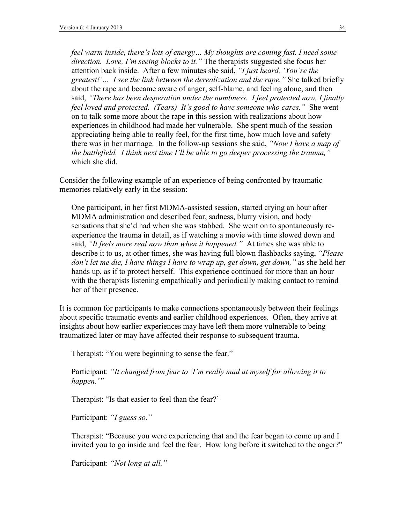*feel warm inside, there's lots of energy… My thoughts are coming fast. I need some direction. Love, I'm seeing blocks to it."* The therapists suggested she focus her attention back inside. After a few minutes she said, *"I just heard, 'You're the greatest!'… I see the link between the derealization and the rape."* She talked briefly about the rape and became aware of anger, self-blame, and feeling alone, and then said, *"There has been desperation under the numbness. I feel protected now, I finally feel loved and protected. (Tears) It's good to have someone who cares."* She went on to talk some more about the rape in this session with realizations about how experiences in childhood had made her vulnerable. She spent much of the session appreciating being able to really feel, for the first time, how much love and safety there was in her marriage. In the follow-up sessions she said, *"Now I have a map of the battlefield. I think next time I'll be able to go deeper processing the trauma,"* which she did.

Consider the following example of an experience of being confronted by traumatic memories relatively early in the session:

One participant, in her first MDMA-assisted session, started crying an hour after MDMA administration and described fear, sadness, blurry vision, and body sensations that she'd had when she was stabbed. She went on to spontaneously reexperience the trauma in detail, as if watching a movie with time slowed down and said, *"It feels more real now than when it happened."* At times she was able to describe it to us, at other times, she was having full blown flashbacks saying, *"Please don't let me die, I have things I have to wrap up, get down, get down,"* as she held her hands up, as if to protect herself. This experience continued for more than an hour with the therapists listening empathically and periodically making contact to remind her of their presence.

It is common for participants to make connections spontaneously between their feelings about specific traumatic events and earlier childhood experiences. Often, they arrive at insights about how earlier experiences may have left them more vulnerable to being traumatized later or may have affected their response to subsequent trauma.

Therapist: "You were beginning to sense the fear."

Participant: *"It changed from fear to 'I'm really mad at myself for allowing it to happen.'"*

Therapist: "Is that easier to feel than the fear?'

Participant: *"I guess so."*

Therapist: "Because you were experiencing that and the fear began to come up and I invited you to go inside and feel the fear. How long before it switched to the anger?"

Participant: *"Not long at all."*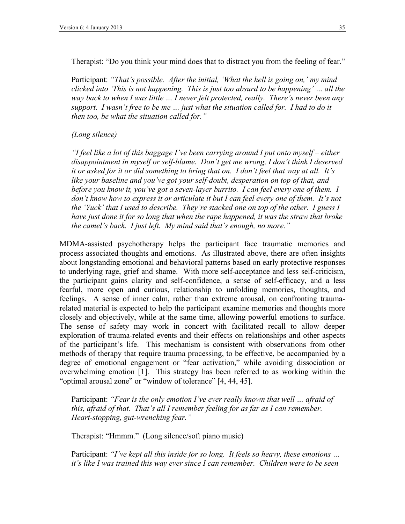Therapist: "Do you think your mind does that to distract you from the feeling of fear."

Participant: *"That's possible. After the initial, 'What the hell is going on,' my mind clicked into 'This is not happening. This is just too absurd to be happening' … all the way back to when I was little … I never felt protected, really. There's never been any support. I wasn't free to be me … just what the situation called for. I had to do it then too, be what the situation called for."*

#### *(Long silence)*

*"I feel like a lot of this baggage I've been carrying around I put onto myself – either disappointment in myself or self-blame. Don't get me wrong, I don't think I deserved it or asked for it or did something to bring that on. I don't feel that way at all. It's like your baseline and you've got your self-doubt, desperation on top of that, and before you know it, you've got a seven-layer burrito. I can feel every one of them. I don't know how to express it or articulate it but I can feel every one of them. It's not the 'Yuck' that I used to describe. They're stacked one on top of the other. I guess I have just done it for so long that when the rape happened, it was the straw that broke the camel's back. I just left. My mind said that's enough, no more."*

MDMA-assisted psychotherapy helps the participant face traumatic memories and process associated thoughts and emotions. As illustrated above, there are often insights about longstanding emotional and behavioral patterns based on early protective responses to underlying rage, grief and shame. With more self-acceptance and less self-criticism, the participant gains clarity and self-confidence, a sense of self-efficacy, and a less fearful, more open and curious, relationship to unfolding memories, thoughts, and feelings. A sense of inner calm, rather than extreme arousal, on confronting traumarelated material is expected to help the participant examine memories and thoughts more closely and objectively, while at the same time, allowing powerful emotions to surface. The sense of safety may work in concert with facilitated recall to allow deeper exploration of trauma-related events and their effects on relationships and other aspects of the participant's life. This mechanism is consistent with observations from other methods of therapy that require trauma processing, to be effective, be accompanied by a degree of emotional engagement or "fear activation," while avoiding dissociation or overwhelming emotion [1]. This strategy has been referred to as working within the "optimal arousal zone" or "window of tolerance" [4, 44, 45].

Participant: *"Fear is the only emotion I've ever really known that well … afraid of this, afraid of that. That's all I remember feeling for as far as I can remember. Heart-stopping, gut-wrenching fear."*

Therapist: "Hmmm." (Long silence/soft piano music)

Participant: *"I've kept all this inside for so long. It feels so heavy, these emotions … it's like I was trained this way ever since I can remember. Children were to be seen*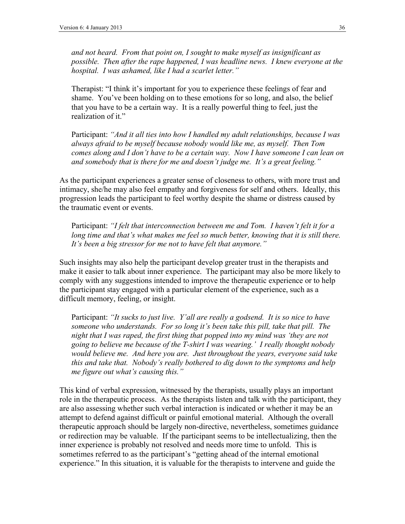*and not heard. From that point on, I sought to make myself as insignificant as possible. Then after the rape happened, I was headline news. I knew everyone at the hospital. I was ashamed, like I had a scarlet letter."*

Therapist: "I think it's important for you to experience these feelings of fear and shame. You've been holding on to these emotions for so long, and also, the belief that you have to be a certain way. It is a really powerful thing to feel, just the realization of it."

Participant: *"And it all ties into how I handled my adult relationships, because I was always afraid to be myself because nobody would like me, as myself. Then Tom comes along and I don't have to be a certain way. Now I have someone I can lean on and somebody that is there for me and doesn't judge me. It's a great feeling."*

As the participant experiences a greater sense of closeness to others, with more trust and intimacy, she/he may also feel empathy and forgiveness for self and others. Ideally, this progression leads the participant to feel worthy despite the shame or distress caused by the traumatic event or events.

Participant: *"I felt that interconnection between me and Tom. I haven't felt it for a*  long time and that's what makes me feel so much better, knowing that it is still there. *It's been a big stressor for me not to have felt that anymore."*

Such insights may also help the participant develop greater trust in the therapists and make it easier to talk about inner experience. The participant may also be more likely to comply with any suggestions intended to improve the therapeutic experience or to help the participant stay engaged with a particular element of the experience, such as a difficult memory, feeling, or insight.

Participant: *"It sucks to just live. Y'all are really a godsend. It is so nice to have someone who understands. For so long it's been take this pill, take that pill. The night that I was raped, the first thing that popped into my mind was 'they are not going to believe me because of the T-shirt I was wearing.' I really thought nobody would believe me. And here you are. Just throughout the years, everyone said take this and take that. Nobody's really bothered to dig down to the symptoms and help me figure out what's causing this."*

This kind of verbal expression, witnessed by the therapists, usually plays an important role in the therapeutic process. As the therapists listen and talk with the participant, they are also assessing whether such verbal interaction is indicated or whether it may be an attempt to defend against difficult or painful emotional material. Although the overall therapeutic approach should be largely non-directive, nevertheless, sometimes guidance or redirection may be valuable. If the participant seems to be intellectualizing, then the inner experience is probably not resolved and needs more time to unfold. This is sometimes referred to as the participant's "getting ahead of the internal emotional experience." In this situation, it is valuable for the therapists to intervene and guide the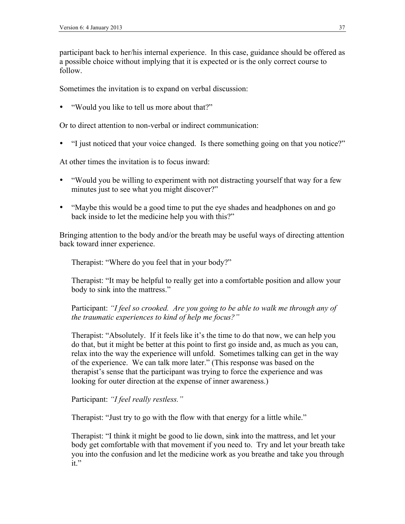participant back to her/his internal experience. In this case, guidance should be offered as a possible choice without implying that it is expected or is the only correct course to follow.

Sometimes the invitation is to expand on verbal discussion:

• "Would you like to tell us more about that?"

Or to direct attention to non-verbal or indirect communication:

• "I just noticed that your voice changed. Is there something going on that you notice?"

At other times the invitation is to focus inward:

- "Would you be willing to experiment with not distracting yourself that way for a few minutes just to see what you might discover?"
- "Maybe this would be a good time to put the eye shades and headphones on and go back inside to let the medicine help you with this?"

Bringing attention to the body and/or the breath may be useful ways of directing attention back toward inner experience.

Therapist: "Where do you feel that in your body?"

Therapist: "It may be helpful to really get into a comfortable position and allow your body to sink into the mattress."

Participant: *"I feel so crooked. Are you going to be able to walk me through any of the traumatic experiences to kind of help me focus?"*

Therapist: "Absolutely. If it feels like it's the time to do that now, we can help you do that, but it might be better at this point to first go inside and, as much as you can, relax into the way the experience will unfold. Sometimes talking can get in the way of the experience. We can talk more later." (This response was based on the therapist's sense that the participant was trying to force the experience and was looking for outer direction at the expense of inner awareness.)

Participant: *"I feel really restless."*

Therapist: "Just try to go with the flow with that energy for a little while."

Therapist: "I think it might be good to lie down, sink into the mattress, and let your body get comfortable with that movement if you need to. Try and let your breath take you into the confusion and let the medicine work as you breathe and take you through it."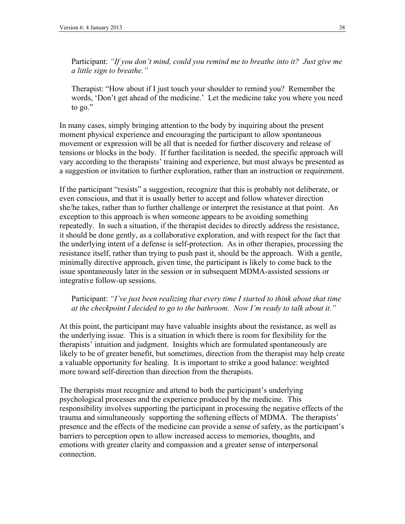Participant: *"If you don't mind, could you remind me to breathe into it? Just give me a little sign to breathe."*

Therapist: "How about if I just touch your shoulder to remind you? Remember the words, 'Don't get ahead of the medicine.' Let the medicine take you where you need to go."

In many cases, simply bringing attention to the body by inquiring about the present moment physical experience and encouraging the participant to allow spontaneous movement or expression will be all that is needed for further discovery and release of tensions or blocks in the body. If further facilitation is needed, the specific approach will vary according to the therapists' training and experience, but must always be presented as a suggestion or invitation to further exploration, rather than an instruction or requirement.

If the participant "resists" a suggestion, recognize that this is probably not deliberate, or even conscious, and that it is usually better to accept and follow whatever direction she/he takes, rather than to further challenge or interpret the resistance at that point. An exception to this approach is when someone appears to be avoiding something repeatedly. In such a situation, if the therapist decides to directly address the resistance, it should be done gently, as a collaborative exploration, and with respect for the fact that the underlying intent of a defense is self-protection. As in other therapies, processing the resistance itself, rather than trying to push past it, should be the approach. With a gentle, minimally directive approach, given time, the participant is likely to come back to the issue spontaneously later in the session or in subsequent MDMA-assisted sessions or integrative follow-up sessions.

Participant: *"I've just been realizing that every time I started to think about that time at the checkpoint I decided to go to the bathroom. Now I'm ready to talk about it."*

At this point, the participant may have valuable insights about the resistance, as well as the underlying issue. This is a situation in which there is room for flexibility for the therapists' intuition and judgment. Insights which are formulated spontaneously are likely to be of greater benefit, but sometimes, direction from the therapist may help create a valuable opportunity for healing. It is important to strike a good balance: weighted more toward self-direction than direction from the therapists.

The therapists must recognize and attend to both the participant's underlying psychological processes and the experience produced by the medicine. This responsibility involves supporting the participant in processing the negative effects of the trauma and simultaneously supporting the softening effects of MDMA. The therapists' presence and the effects of the medicine can provide a sense of safety, as the participant's barriers to perception open to allow increased access to memories, thoughts, and emotions with greater clarity and compassion and a greater sense of interpersonal connection.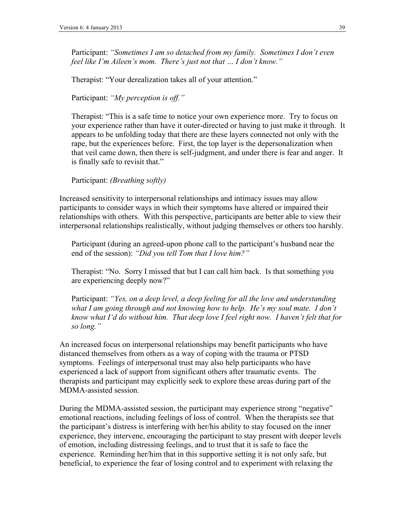Participant: *"Sometimes I am so detached from my family. Sometimes I don't even feel like I'm Aileen's mom. There's just not that … I don't know."*

Therapist: "Your derealization takes all of your attention."

Participant: *"My perception is off."*

Therapist: "This is a safe time to notice your own experience more. Try to focus on your experience rather than have it outer-directed or having to just make it through. It appears to be unfolding today that there are these layers connected not only with the rape, but the experiences before. First, the top layer is the depersonalization when that veil came down, then there is self-judgment, and under there is fear and anger. It is finally safe to revisit that."

Participant: *(Breathing softly)*

Increased sensitivity to interpersonal relationships and intimacy issues may allow participants to consider ways in which their symptoms have altered or impaired their relationships with others. With this perspective, participants are better able to view their interpersonal relationships realistically, without judging themselves or others too harshly.

Participant (during an agreed-upon phone call to the participant's husband near the end of the session): *"Did you tell Tom that I love him?"*

Therapist: "No. Sorry I missed that but I can call him back. Is that something you are experiencing deeply now?"

Participant: *"Yes, on a deep level, a deep feeling for all the love and understanding what I am going through and not knowing how to help. He's my soul mate. I don't know what I'd do without him. That deep love I feel right now. I haven't felt that for so long."*

An increased focus on interpersonal relationships may benefit participants who have distanced themselves from others as a way of coping with the trauma or PTSD symptoms. Feelings of interpersonal trust may also help participants who have experienced a lack of support from significant others after traumatic events. The therapists and participant may explicitly seek to explore these areas during part of the MDMA-assisted session.

During the MDMA-assisted session, the participant may experience strong "negative" emotional reactions, including feelings of loss of control. When the therapists see that the participant's distress is interfering with her/his ability to stay focused on the inner experience, they intervene, encouraging the participant to stay present with deeper levels of emotion, including distressing feelings, and to trust that it is safe to face the experience. Reminding her/him that in this supportive setting it is not only safe, but beneficial, to experience the fear of losing control and to experiment with relaxing the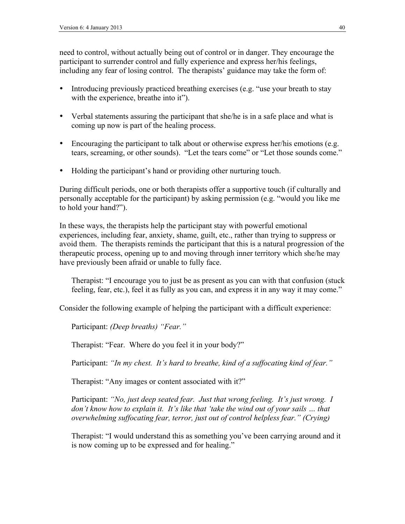need to control, without actually being out of control or in danger. They encourage the participant to surrender control and fully experience and express her/his feelings, including any fear of losing control. The therapists' guidance may take the form of:

- Introducing previously practiced breathing exercises (e.g. "use your breath to stay with the experience, breathe into it").
- Verbal statements assuring the participant that she/he is in a safe place and what is coming up now is part of the healing process.
- Encouraging the participant to talk about or otherwise express her/his emotions (e.g. tears, screaming, or other sounds). "Let the tears come" or "Let those sounds come."
- Holding the participant's hand or providing other nurturing touch.

During difficult periods, one or both therapists offer a supportive touch (if culturally and personally acceptable for the participant) by asking permission (e.g. "would you like me to hold your hand?").

In these ways, the therapists help the participant stay with powerful emotional experiences, including fear, anxiety, shame, guilt, etc., rather than trying to suppress or avoid them. The therapists reminds the participant that this is a natural progression of the therapeutic process, opening up to and moving through inner territory which she/he may have previously been afraid or unable to fully face.

Therapist: "I encourage you to just be as present as you can with that confusion (stuck feeling, fear, etc.), feel it as fully as you can, and express it in any way it may come."

Consider the following example of helping the participant with a difficult experience:

Participant: *(Deep breaths) "Fear."*

Therapist: "Fear. Where do you feel it in your body?"

Participant: *"In my chest. It's hard to breathe, kind of a suffocating kind of fear."*

Therapist: "Any images or content associated with it?"

Participant: *"No, just deep seated fear. Just that wrong feeling. It's just wrong. I don't know how to explain it. It's like that 'take the wind out of your sails … that overwhelming suffocating fear, terror, just out of control helpless fear." (Crying)*

Therapist: "I would understand this as something you've been carrying around and it is now coming up to be expressed and for healing."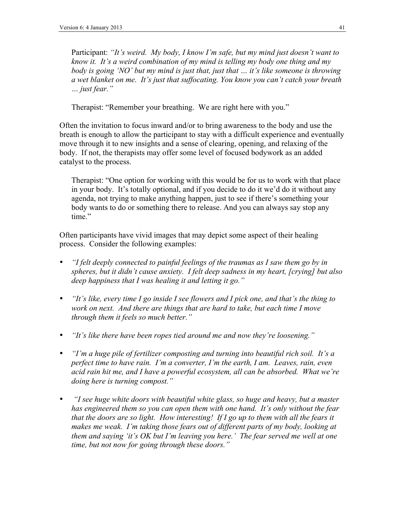Participant: *"It's weird. My body, I know I'm safe, but my mind just doesn't want to know it. It's a weird combination of my mind is telling my body one thing and my body is going 'NO' but my mind is just that, just that … it's like someone is throwing a wet blanket on me. It's just that suffocating. You know you can't catch your breath … just fear."*

Therapist: "Remember your breathing. We are right here with you."

Often the invitation to focus inward and/or to bring awareness to the body and use the breath is enough to allow the participant to stay with a difficult experience and eventually move through it to new insights and a sense of clearing, opening, and relaxing of the body. If not, the therapists may offer some level of focused bodywork as an added catalyst to the process.

Therapist: "One option for working with this would be for us to work with that place in your body. It's totally optional, and if you decide to do it we'd do it without any agenda, not trying to make anything happen, just to see if there's something your body wants to do or something there to release. And you can always say stop any time."

Often participants have vivid images that may depict some aspect of their healing process. Consider the following examples:

- *"I felt deeply connected to painful feelings of the traumas as I saw them go by in spheres, but it didn't cause anxiety. I felt deep sadness in my heart, [crying] but also deep happiness that I was healing it and letting it go."*
- *"It's like, every time I go inside I see flowers and I pick one, and that's the thing to work on next. And there are things that are hard to take, but each time I move through them it feels so much better."*
- *"It's like there have been ropes tied around me and now they're loosening."*
- *"I'm a huge pile of fertilizer composting and turning into beautiful rich soil. It's a perfect time to have rain. I'm a converter, I'm the earth, I am. Leaves, rain, even acid rain hit me, and I have a powerful ecosystem, all can be absorbed. What we're doing here is turning compost."*
- • *"I see huge white doors with beautiful white glass, so huge and heavy, but a master has engineered them so you can open them with one hand. It's only without the fear that the doors are so light. How interesting! If I go up to them with all the fears it*  makes me weak. I'm taking those fears out of different parts of my body, looking at *them and saying 'it's OK but I'm leaving you here.' The fear served me well at one time, but not now for going through these doors."*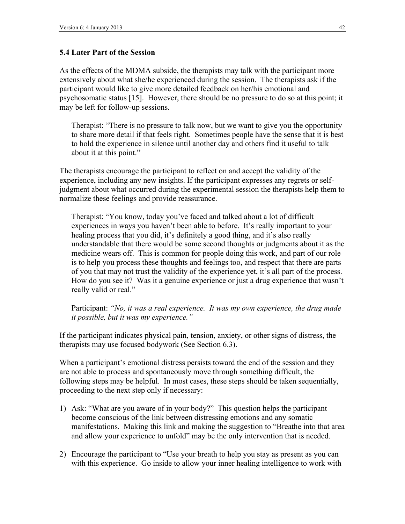#### **5.4 Later Part of the Session**

As the effects of the MDMA subside, the therapists may talk with the participant more extensively about what she/he experienced during the session. The therapists ask if the participant would like to give more detailed feedback on her/his emotional and psychosomatic status [15]. However, there should be no pressure to do so at this point; it may be left for follow-up sessions.

Therapist: "There is no pressure to talk now, but we want to give you the opportunity to share more detail if that feels right. Sometimes people have the sense that it is best to hold the experience in silence until another day and others find it useful to talk about it at this point."

The therapists encourage the participant to reflect on and accept the validity of the experience, including any new insights. If the participant expresses any regrets or selfjudgment about what occurred during the experimental session the therapists help them to normalize these feelings and provide reassurance.

Therapist: "You know, today you've faced and talked about a lot of difficult experiences in ways you haven't been able to before. It's really important to your healing process that you did, it's definitely a good thing, and it's also really understandable that there would be some second thoughts or judgments about it as the medicine wears off. This is common for people doing this work, and part of our role is to help you process these thoughts and feelings too, and respect that there are parts of you that may not trust the validity of the experience yet, it's all part of the process. How do you see it? Was it a genuine experience or just a drug experience that wasn't really valid or real."

Participant: *"No, it was a real experience. It was my own experience, the drug made it possible, but it was my experience."*

If the participant indicates physical pain, tension, anxiety, or other signs of distress, the therapists may use focused bodywork (See Section 6.3).

When a participant's emotional distress persists toward the end of the session and they are not able to process and spontaneously move through something difficult, the following steps may be helpful. In most cases, these steps should be taken sequentially, proceeding to the next step only if necessary:

- 1) Ask: "What are you aware of in your body?" This question helps the participant become conscious of the link between distressing emotions and any somatic manifestations. Making this link and making the suggestion to "Breathe into that area and allow your experience to unfold" may be the only intervention that is needed.
- 2) Encourage the participant to "Use your breath to help you stay as present as you can with this experience. Go inside to allow your inner healing intelligence to work with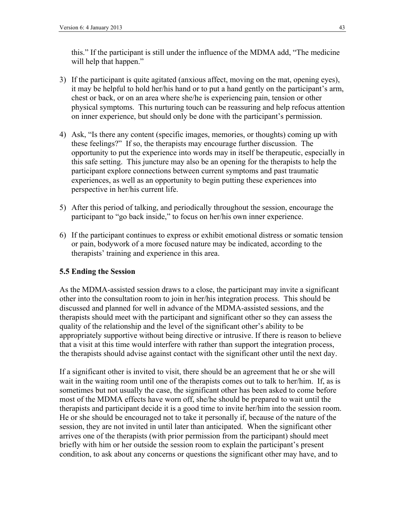this." If the participant is still under the influence of the MDMA add, "The medicine will help that happen."

- 3) If the participant is quite agitated (anxious affect, moving on the mat, opening eyes), it may be helpful to hold her/his hand or to put a hand gently on the participant's arm, chest or back, or on an area where she/he is experiencing pain, tension or other physical symptoms. This nurturing touch can be reassuring and help refocus attention on inner experience, but should only be done with the participant's permission.
- 4) Ask, "Is there any content (specific images, memories, or thoughts) coming up with these feelings?" If so, the therapists may encourage further discussion. The opportunity to put the experience into words may in itself be therapeutic, especially in this safe setting. This juncture may also be an opening for the therapists to help the participant explore connections between current symptoms and past traumatic experiences, as well as an opportunity to begin putting these experiences into perspective in her/his current life.
- 5) After this period of talking, and periodically throughout the session, encourage the participant to "go back inside," to focus on her/his own inner experience.
- 6) If the participant continues to express or exhibit emotional distress or somatic tension or pain, bodywork of a more focused nature may be indicated, according to the therapists' training and experience in this area.

#### **5.5 Ending the Session**

As the MDMA-assisted session draws to a close, the participant may invite a significant other into the consultation room to join in her/his integration process. This should be discussed and planned for well in advance of the MDMA-assisted sessions, and the therapists should meet with the participant and significant other so they can assess the quality of the relationship and the level of the significant other's ability to be appropriately supportive without being directive or intrusive. If there is reason to believe that a visit at this time would interfere with rather than support the integration process, the therapists should advise against contact with the significant other until the next day.

If a significant other is invited to visit, there should be an agreement that he or she will wait in the waiting room until one of the therapists comes out to talk to her/him. If, as is sometimes but not usually the case, the significant other has been asked to come before most of the MDMA effects have worn off, she/he should be prepared to wait until the therapists and participant decide it is a good time to invite her/him into the session room. He or she should be encouraged not to take it personally if, because of the nature of the session, they are not invited in until later than anticipated. When the significant other arrives one of the therapists (with prior permission from the participant) should meet briefly with him or her outside the session room to explain the participant's present condition, to ask about any concerns or questions the significant other may have, and to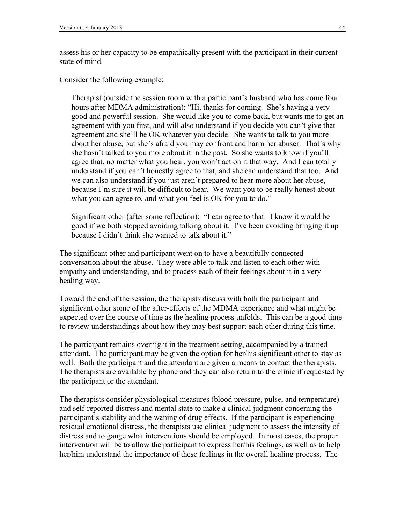assess his or her capacity to be empathically present with the participant in their current state of mind.

Consider the following example:

Therapist (outside the session room with a participant's husband who has come four hours after MDMA administration): "Hi, thanks for coming. She's having a very good and powerful session. She would like you to come back, but wants me to get an agreement with you first, and will also understand if you decide you can't give that agreement and she'll be OK whatever you decide. She wants to talk to you more about her abuse, but she's afraid you may confront and harm her abuser. That's why she hasn't talked to you more about it in the past. So she wants to know if you'll agree that, no matter what you hear, you won't act on it that way. And I can totally understand if you can't honestly agree to that, and she can understand that too. And we can also understand if you just aren't prepared to hear more about her abuse, because I'm sure it will be difficult to hear. We want you to be really honest about what you can agree to, and what you feel is OK for you to do."

Significant other (after some reflection): "I can agree to that. I know it would be good if we both stopped avoiding talking about it. I've been avoiding bringing it up because I didn't think she wanted to talk about it."

The significant other and participant went on to have a beautifully connected conversation about the abuse. They were able to talk and listen to each other with empathy and understanding, and to process each of their feelings about it in a very healing way.

Toward the end of the session, the therapists discuss with both the participant and significant other some of the after-effects of the MDMA experience and what might be expected over the course of time as the healing process unfolds. This can be a good time to review understandings about how they may best support each other during this time.

The participant remains overnight in the treatment setting, accompanied by a trained attendant. The participant may be given the option for her/his significant other to stay as well. Both the participant and the attendant are given a means to contact the therapists. The therapists are available by phone and they can also return to the clinic if requested by the participant or the attendant.

The therapists consider physiological measures (blood pressure, pulse, and temperature) and self-reported distress and mental state to make a clinical judgment concerning the participant's stability and the waning of drug effects. If the participant is experiencing residual emotional distress, the therapists use clinical judgment to assess the intensity of distress and to gauge what interventions should be employed. In most cases, the proper intervention will be to allow the participant to express her/his feelings, as well as to help her/him understand the importance of these feelings in the overall healing process. The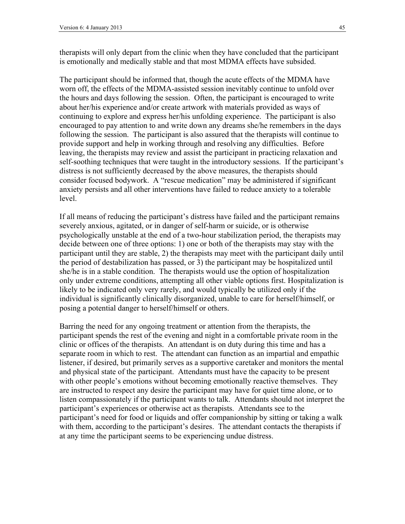therapists will only depart from the clinic when they have concluded that the participant is emotionally and medically stable and that most MDMA effects have subsided.

The participant should be informed that, though the acute effects of the MDMA have worn off, the effects of the MDMA-assisted session inevitably continue to unfold over the hours and days following the session. Often, the participant is encouraged to write about her/his experience and/or create artwork with materials provided as ways of continuing to explore and express her/his unfolding experience. The participant is also encouraged to pay attention to and write down any dreams she/he remembers in the days following the session. The participant is also assured that the therapists will continue to provide support and help in working through and resolving any difficulties. Before leaving, the therapists may review and assist the participant in practicing relaxation and self-soothing techniques that were taught in the introductory sessions. If the participant's distress is not sufficiently decreased by the above measures, the therapists should consider focused bodywork. A "rescue medication" may be administered if significant anxiety persists and all other interventions have failed to reduce anxiety to a tolerable level.

If all means of reducing the participant's distress have failed and the participant remains severely anxious, agitated, or in danger of self-harm or suicide, or is otherwise psychologically unstable at the end of a two-hour stabilization period, the therapists may decide between one of three options: 1) one or both of the therapists may stay with the participant until they are stable, 2) the therapists may meet with the participant daily until the period of destabilization has passed, or 3) the participant may be hospitalized until she/he is in a stable condition. The therapists would use the option of hospitalization only under extreme conditions, attempting all other viable options first. Hospitalization is likely to be indicated only very rarely, and would typically be utilized only if the individual is significantly clinically disorganized, unable to care for herself/himself, or posing a potential danger to herself/himself or others.

Barring the need for any ongoing treatment or attention from the therapists, the participant spends the rest of the evening and night in a comfortable private room in the clinic or offices of the therapists. An attendant is on duty during this time and has a separate room in which to rest. The attendant can function as an impartial and empathic listener, if desired, but primarily serves as a supportive caretaker and monitors the mental and physical state of the participant. Attendants must have the capacity to be present with other people's emotions without becoming emotionally reactive themselves. They are instructed to respect any desire the participant may have for quiet time alone, or to listen compassionately if the participant wants to talk. Attendants should not interpret the participant's experiences or otherwise act as therapists. Attendants see to the participant's need for food or liquids and offer companionship by sitting or taking a walk with them, according to the participant's desires. The attendant contacts the therapists if at any time the participant seems to be experiencing undue distress.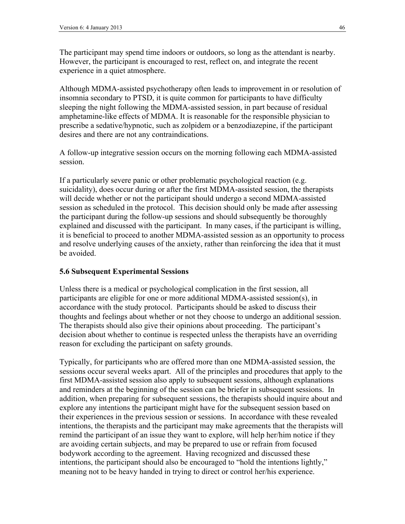The participant may spend time indoors or outdoors, so long as the attendant is nearby. However, the participant is encouraged to rest, reflect on, and integrate the recent experience in a quiet atmosphere.

Although MDMA-assisted psychotherapy often leads to improvement in or resolution of insomnia secondary to PTSD, it is quite common for participants to have difficulty sleeping the night following the MDMA-assisted session, in part because of residual amphetamine-like effects of MDMA. It is reasonable for the responsible physician to prescribe a sedative/hypnotic, such as zolpidem or a benzodiazepine, if the participant desires and there are not any contraindications.

A follow-up integrative session occurs on the morning following each MDMA-assisted session.

If a particularly severe panic or other problematic psychological reaction (e.g. suicidality), does occur during or after the first MDMA-assisted session, the therapists will decide whether or not the participant should undergo a second MDMA-assisted session as scheduled in the protocol. This decision should only be made after assessing the participant during the follow-up sessions and should subsequently be thoroughly explained and discussed with the participant. In many cases, if the participant is willing, it is beneficial to proceed to another MDMA-assisted session as an opportunity to process and resolve underlying causes of the anxiety, rather than reinforcing the idea that it must be avoided.

#### **5.6 Subsequent Experimental Sessions**

Unless there is a medical or psychological complication in the first session, all participants are eligible for one or more additional MDMA-assisted session(s), in accordance with the study protocol. Participants should be asked to discuss their thoughts and feelings about whether or not they choose to undergo an additional session. The therapists should also give their opinions about proceeding. The participant's decision about whether to continue is respected unless the therapists have an overriding reason for excluding the participant on safety grounds.

Typically, for participants who are offered more than one MDMA-assisted session, the sessions occur several weeks apart. All of the principles and procedures that apply to the first MDMA-assisted session also apply to subsequent sessions, although explanations and reminders at the beginning of the session can be briefer in subsequent sessions. In addition, when preparing for subsequent sessions, the therapists should inquire about and explore any intentions the participant might have for the subsequent session based on their experiences in the previous session or sessions. In accordance with these revealed intentions, the therapists and the participant may make agreements that the therapists will remind the participant of an issue they want to explore, will help her/him notice if they are avoiding certain subjects, and may be prepared to use or refrain from focused bodywork according to the agreement. Having recognized and discussed these intentions, the participant should also be encouraged to "hold the intentions lightly," meaning not to be heavy handed in trying to direct or control her/his experience.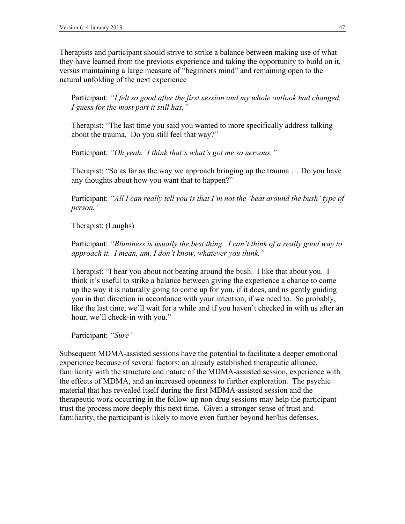Therapists and participant should strive to strike a balance between making use of what they have learned from the previous experience and taking the opportunity to build on it, versus maintaining a large measure of "beginners mind" and remaining open to the natural unfolding of the next experience

Participant: *"I felt so good after the first session and my whole outlook had changed. I guess for the most part it still has."*

Therapist: "The last time you said you wanted to more specifically address talking about the trauma. Do you still feel that way?"

Participant: *"Oh yeah. I think that's what's got me so nervous."*

Therapist: "So as far as the way we approach bringing up the trauma … Do you have any thoughts about how you want that to happen?"

Participant: *"All I can really tell you is that I'm not the 'beat around the bush' type of person."*

Therapist: (Laughs)

Participant: *"Bluntness is usually the best thing. I can't think of a really good way to approach it. I mean, um, I don't know, whatever you think."*

Therapist: "I hear you about not beating around the bush. I like that about you. I think it's useful to strike a balance between giving the experience a chance to come up the way it is naturally going to come up for you, if it does, and us gently guiding you in that direction in accordance with your intention, if we need to. So probably, like the last time, we'll wait for a while and if you haven't checked in with us after an hour, we'll check-in with you."

Participant: *"Sure"*

Subsequent MDMA-assisted sessions have the potential to facilitate a deeper emotional experience because of several factors: an already established therapeutic alliance, familiarity with the structure and nature of the MDMA-assisted session, experience with the effects of MDMA, and an increased openness to further exploration. The psychic material that has revealed itself during the first MDMA-assisted session and the therapeutic work occurring in the follow-up non-drug sessions may help the participant trust the process more deeply this next time. Given a stronger sense of trust and familiarity, the participant is likely to move even further beyond her/his defenses.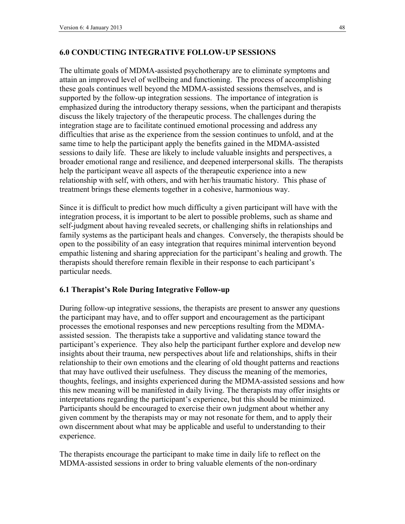### **6.0 CONDUCTING INTEGRATIVE FOLLOW-UP SESSIONS**

The ultimate goals of MDMA-assisted psychotherapy are to eliminate symptoms and attain an improved level of wellbeing and functioning. The process of accomplishing these goals continues well beyond the MDMA-assisted sessions themselves, and is supported by the follow-up integration sessions. The importance of integration is emphasized during the introductory therapy sessions, when the participant and therapists discuss the likely trajectory of the therapeutic process. The challenges during the integration stage are to facilitate continued emotional processing and address any difficulties that arise as the experience from the session continues to unfold, and at the same time to help the participant apply the benefits gained in the MDMA-assisted sessions to daily life. These are likely to include valuable insights and perspectives, a broader emotional range and resilience, and deepened interpersonal skills. The therapists help the participant weave all aspects of the therapeutic experience into a new relationship with self, with others, and with her/his traumatic history. This phase of treatment brings these elements together in a cohesive, harmonious way.

Since it is difficult to predict how much difficulty a given participant will have with the integration process, it is important to be alert to possible problems, such as shame and self-judgment about having revealed secrets, or challenging shifts in relationships and family systems as the participant heals and changes. Conversely, the therapists should be open to the possibility of an easy integration that requires minimal intervention beyond empathic listening and sharing appreciation for the participant's healing and growth. The therapists should therefore remain flexible in their response to each participant's particular needs.

#### **6.1 Therapist's Role During Integrative Follow-up**

During follow-up integrative sessions, the therapists are present to answer any questions the participant may have, and to offer support and encouragement as the participant processes the emotional responses and new perceptions resulting from the MDMAassisted session. The therapists take a supportive and validating stance toward the participant's experience. They also help the participant further explore and develop new insights about their trauma, new perspectives about life and relationships, shifts in their relationship to their own emotions and the clearing of old thought patterns and reactions that may have outlived their usefulness. They discuss the meaning of the memories, thoughts, feelings, and insights experienced during the MDMA-assisted sessions and how this new meaning will be manifested in daily living. The therapists may offer insights or interpretations regarding the participant's experience, but this should be minimized. Participants should be encouraged to exercise their own judgment about whether any given comment by the therapists may or may not resonate for them, and to apply their own discernment about what may be applicable and useful to understanding to their experience.

The therapists encourage the participant to make time in daily life to reflect on the MDMA-assisted sessions in order to bring valuable elements of the non-ordinary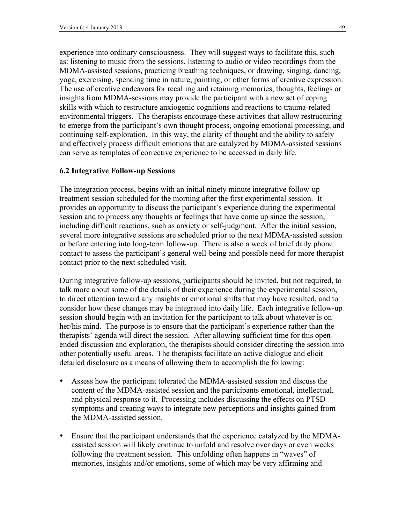experience into ordinary consciousness. They will suggest ways to facilitate this, such as: listening to music from the sessions, listening to audio or video recordings from the MDMA-assisted sessions, practicing breathing techniques, or drawing, singing, dancing, yoga, exercising, spending time in nature, painting, or other forms of creative expression. The use of creative endeavors for recalling and retaining memories, thoughts, feelings or insights from MDMA-sessions may provide the participant with a new set of coping skills with which to restructure anxiogenic cognitions and reactions to trauma-related environmental triggers. The therapists encourage these activities that allow restructuring to emerge from the participant's own thought process, ongoing emotional processing, and continuing self-exploration. In this way, the clarity of thought and the ability to safely and effectively process difficult emotions that are catalyzed by MDMA-assisted sessions can serve as templates of corrective experience to be accessed in daily life.

#### **6.2 Integrative Follow-up Sessions**

The integration process, begins with an initial ninety minute integrative follow-up treatment session scheduled for the morning after the first experimental session. It provides an opportunity to discuss the participant's experience during the experimental session and to process any thoughts or feelings that have come up since the session, including difficult reactions, such as anxiety or self-judgment. After the initial session, several more integrative sessions are scheduled prior to the next MDMA-assisted session or before entering into long-term follow-up. There is also a week of brief daily phone contact to assess the participant's general well-being and possible need for more therapist contact prior to the next scheduled visit.

During integrative follow-up sessions, participants should be invited, but not required, to talk more about some of the details of their experience during the experimental session, to direct attention toward any insights or emotional shifts that may have resulted, and to consider how these changes may be integrated into daily life. Each integrative follow-up session should begin with an invitation for the participant to talk about whatever is on her/his mind. The purpose is to ensure that the participant's experience rather than the therapists' agenda will direct the session. After allowing sufficient time for this openended discussion and exploration, the therapists should consider directing the session into other potentially useful areas. The therapists facilitate an active dialogue and elicit detailed disclosure as a means of allowing them to accomplish the following:

- Assess how the participant tolerated the MDMA-assisted session and discuss the content of the MDMA-assisted session and the participants emotional, intellectual, and physical response to it. Processing includes discussing the effects on PTSD symptoms and creating ways to integrate new perceptions and insights gained from the MDMA-assisted session.
- Ensure that the participant understands that the experience catalyzed by the MDMAassisted session will likely continue to unfold and resolve over days or even weeks following the treatment session. This unfolding often happens in "waves" of memories, insights and/or emotions, some of which may be very affirming and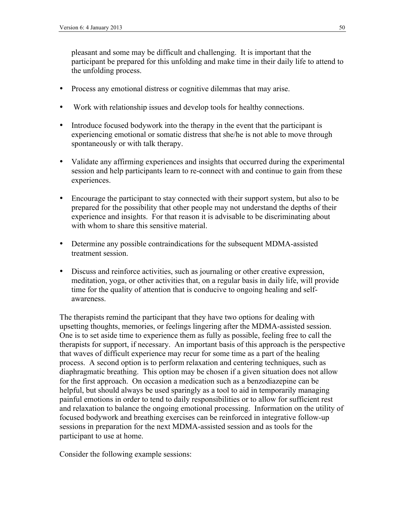pleasant and some may be difficult and challenging. It is important that the participant be prepared for this unfolding and make time in their daily life to attend to the unfolding process.

- Process any emotional distress or cognitive dilemmas that may arise.
- Work with relationship issues and develop tools for healthy connections.
- Introduce focused bodywork into the therapy in the event that the participant is experiencing emotional or somatic distress that she/he is not able to move through spontaneously or with talk therapy.
- Validate any affirming experiences and insights that occurred during the experimental session and help participants learn to re-connect with and continue to gain from these experiences.
- Encourage the participant to stay connected with their support system, but also to be prepared for the possibility that other people may not understand the depths of their experience and insights. For that reason it is advisable to be discriminating about with whom to share this sensitive material.
- Determine any possible contraindications for the subsequent MDMA-assisted treatment session.
- Discuss and reinforce activities, such as journaling or other creative expression, meditation, yoga, or other activities that, on a regular basis in daily life, will provide time for the quality of attention that is conducive to ongoing healing and selfawareness.

The therapists remind the participant that they have two options for dealing with upsetting thoughts, memories, or feelings lingering after the MDMA-assisted session. One is to set aside time to experience them as fully as possible, feeling free to call the therapists for support, if necessary. An important basis of this approach is the perspective that waves of difficult experience may recur for some time as a part of the healing process. A second option is to perform relaxation and centering techniques, such as diaphragmatic breathing. This option may be chosen if a given situation does not allow for the first approach. On occasion a medication such as a benzodiazepine can be helpful, but should always be used sparingly as a tool to aid in temporarily managing painful emotions in order to tend to daily responsibilities or to allow for sufficient rest and relaxation to balance the ongoing emotional processing. Information on the utility of focused bodywork and breathing exercises can be reinforced in integrative follow-up sessions in preparation for the next MDMA-assisted session and as tools for the participant to use at home.

Consider the following example sessions: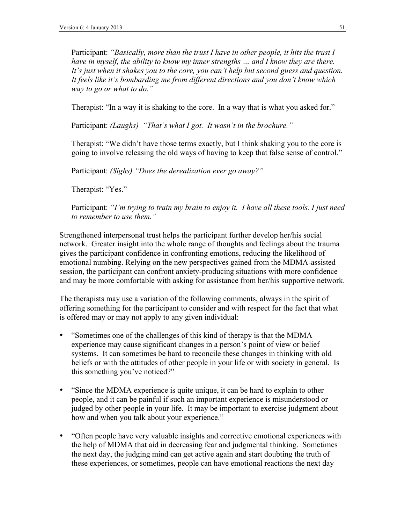Participant: "Basically, more than the trust I have in other people, it hits the trust I *have in myself, the ability to know my inner strengths ... and I know they are there. It's just when it shakes you to the core, you can't help but second guess and question. It feels like it's bombarding me from different directions and you don't know which way to go or what to do."*

Therapist: "In a way it is shaking to the core. In a way that is what you asked for."

Participant: *(Laughs) "That's what I got. It wasn't in the brochure."*

Therapist: "We didn't have those terms exactly, but I think shaking you to the core is going to involve releasing the old ways of having to keep that false sense of control."

Participant: *(Sighs) "Does the derealization ever go away?"*

Therapist: "Yes."

Participant: *"I'm trying to train my brain to enjoy it. I have all these tools. I just need to remember to use them."*

Strengthened interpersonal trust helps the participant further develop her/his social network. Greater insight into the whole range of thoughts and feelings about the trauma gives the participant confidence in confronting emotions, reducing the likelihood of emotional numbing. Relying on the new perspectives gained from the MDMA-assisted session, the participant can confront anxiety-producing situations with more confidence and may be more comfortable with asking for assistance from her/his supportive network.

The therapists may use a variation of the following comments, always in the spirit of offering something for the participant to consider and with respect for the fact that what is offered may or may not apply to any given individual:

- "Sometimes one of the challenges of this kind of therapy is that the MDMA experience may cause significant changes in a person's point of view or belief systems. It can sometimes be hard to reconcile these changes in thinking with old beliefs or with the attitudes of other people in your life or with society in general. Is this something you've noticed?"
- "Since the MDMA experience is quite unique, it can be hard to explain to other people, and it can be painful if such an important experience is misunderstood or judged by other people in your life. It may be important to exercise judgment about how and when you talk about your experience."
- "Often people have very valuable insights and corrective emotional experiences with the help of MDMA that aid in decreasing fear and judgmental thinking. Sometimes the next day, the judging mind can get active again and start doubting the truth of these experiences, or sometimes, people can have emotional reactions the next day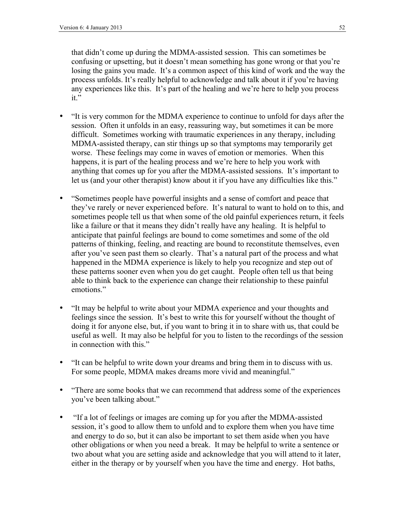that didn't come up during the MDMA-assisted session. This can sometimes be confusing or upsetting, but it doesn't mean something has gone wrong or that you're losing the gains you made. It's a common aspect of this kind of work and the way the process unfolds. It's really helpful to acknowledge and talk about it if you're having any experiences like this. It's part of the healing and we're here to help you process it."

- "It is very common for the MDMA experience to continue to unfold for days after the session. Often it unfolds in an easy, reassuring way, but sometimes it can be more difficult. Sometimes working with traumatic experiences in any therapy, including MDMA-assisted therapy, can stir things up so that symptoms may temporarily get worse. These feelings may come in waves of emotion or memories. When this happens, it is part of the healing process and we're here to help you work with anything that comes up for you after the MDMA-assisted sessions. It's important to let us (and your other therapist) know about it if you have any difficulties like this."
- "Sometimes people have powerful insights and a sense of comfort and peace that they've rarely or never experienced before. It's natural to want to hold on to this, and sometimes people tell us that when some of the old painful experiences return, it feels like a failure or that it means they didn't really have any healing. It is helpful to anticipate that painful feelings are bound to come sometimes and some of the old patterns of thinking, feeling, and reacting are bound to reconstitute themselves, even after you've seen past them so clearly. That's a natural part of the process and what happened in the MDMA experience is likely to help you recognize and step out of these patterns sooner even when you do get caught. People often tell us that being able to think back to the experience can change their relationship to these painful emotions."
- "It may be helpful to write about your MDMA experience and your thoughts and feelings since the session. It's best to write this for yourself without the thought of doing it for anyone else, but, if you want to bring it in to share with us, that could be useful as well. It may also be helpful for you to listen to the recordings of the session in connection with this."
- "It can be helpful to write down your dreams and bring them in to discuss with us. For some people, MDMA makes dreams more vivid and meaningful."
- "There are some books that we can recommend that address some of the experiences you've been talking about."
- "If a lot of feelings or images are coming up for you after the MDMA-assisted session, it's good to allow them to unfold and to explore them when you have time and energy to do so, but it can also be important to set them aside when you have other obligations or when you need a break. It may be helpful to write a sentence or two about what you are setting aside and acknowledge that you will attend to it later, either in the therapy or by yourself when you have the time and energy. Hot baths,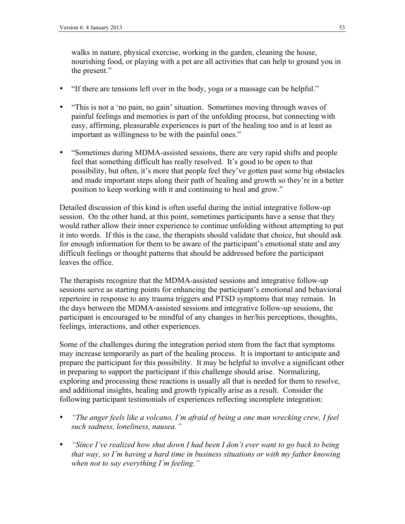walks in nature, physical exercise, working in the garden, cleaning the house, nourishing food, or playing with a pet are all activities that can help to ground you in the present."

- "If there are tensions left over in the body, yoga or a massage can be helpful."
- "This is not a 'no pain, no gain' situation. Sometimes moving through waves of painful feelings and memories is part of the unfolding process, but connecting with easy, affirming, pleasurable experiences is part of the healing too and is at least as important as willingness to be with the painful ones."
- "Sometimes during MDMA-assisted sessions, there are very rapid shifts and people feel that something difficult has really resolved. It's good to be open to that possibility, but often, it's more that people feel they've gotten past some big obstacles and made important steps along their path of healing and growth so they're in a better position to keep working with it and continuing to heal and grow."

Detailed discussion of this kind is often useful during the initial integrative follow-up session. On the other hand, at this point, sometimes participants have a sense that they would rather allow their inner experience to continue unfolding without attempting to put it into words. If this is the case, the therapists should validate that choice, but should ask for enough information for them to be aware of the participant's emotional state and any difficult feelings or thought patterns that should be addressed before the participant leaves the office.

The therapists recognize that the MDMA-assisted sessions and integrative follow-up sessions serve as starting points for enhancing the participant's emotional and behavioral repertoire in response to any trauma triggers and PTSD symptoms that may remain. In the days between the MDMA-assisted sessions and integrative follow-up sessions, the participant is encouraged to be mindful of any changes in her/his perceptions, thoughts, feelings, interactions, and other experiences.

Some of the challenges during the integration period stem from the fact that symptoms may increase temporarily as part of the healing process. It is important to anticipate and prepare the participant for this possibility. It may be helpful to involve a significant other in preparing to support the participant if this challenge should arise. Normalizing, exploring and processing these reactions is usually all that is needed for them to resolve, and additional insights, healing and growth typically arise as a result. Consider the following participant testimonials of experiences reflecting incomplete integration:

- *"The anger feels like a volcano, I'm afraid of being a one man wrecking crew, I feel such sadness, loneliness, nausea."*
- *"Since I've realized how shut down I had been I don't ever want to go back to being that way, so I'm having a hard time in business situations or with my father knowing when not to say everything I'm feeling."*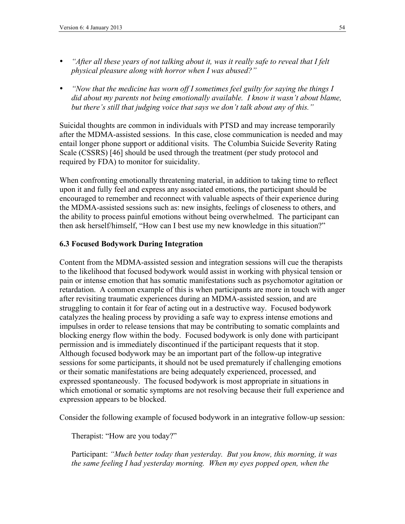- *"After all these years of not talking about it, was it really safe to reveal that I felt physical pleasure along with horror when I was abused?"*
- *"Now that the medicine has worn off I sometimes feel guilty for saying the things I did about my parents not being emotionally available. I know it wasn't about blame, but there's still that judging voice that says we don't talk about any of this."*

Suicidal thoughts are common in individuals with PTSD and may increase temporarily after the MDMA-assisted sessions. In this case, close communication is needed and may entail longer phone support or additional visits. The Columbia Suicide Severity Rating Scale (CSSRS) [46] should be used through the treatment (per study protocol and required by FDA) to monitor for suicidality.

When confronting emotionally threatening material, in addition to taking time to reflect upon it and fully feel and express any associated emotions, the participant should be encouraged to remember and reconnect with valuable aspects of their experience during the MDMA-assisted sessions such as: new insights, feelings of closeness to others, and the ability to process painful emotions without being overwhelmed. The participant can then ask herself/himself, "How can I best use my new knowledge in this situation?"

### **6.3 Focused Bodywork During Integration**

Content from the MDMA-assisted session and integration sessions will cue the therapists to the likelihood that focused bodywork would assist in working with physical tension or pain or intense emotion that has somatic manifestations such as psychomotor agitation or retardation. A common example of this is when participants are more in touch with anger after revisiting traumatic experiences during an MDMA-assisted session, and are struggling to contain it for fear of acting out in a destructive way. Focused bodywork catalyzes the healing process by providing a safe way to express intense emotions and impulses in order to release tensions that may be contributing to somatic complaints and blocking energy flow within the body. Focused bodywork is only done with participant permission and is immediately discontinued if the participant requests that it stop. Although focused bodywork may be an important part of the follow-up integrative sessions for some participants, it should not be used prematurely if challenging emotions or their somatic manifestations are being adequately experienced, processed, and expressed spontaneously. The focused bodywork is most appropriate in situations in which emotional or somatic symptoms are not resolving because their full experience and expression appears to be blocked.

Consider the following example of focused bodywork in an integrative follow-up session:

Therapist: "How are you today?"

Participant: *"Much better today than yesterday. But you know, this morning, it was the same feeling I had yesterday morning. When my eyes popped open, when the*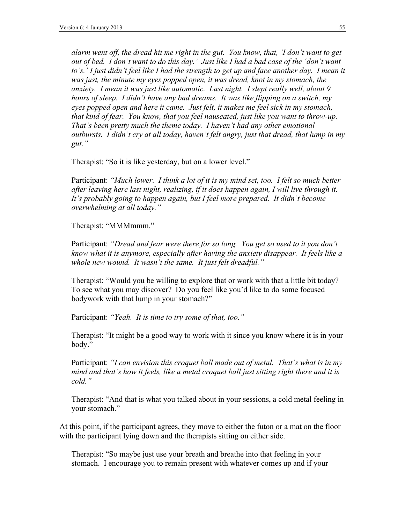*alarm went off, the dread hit me right in the gut. You know, that, 'I don't want to get out of bed. I don't want to do this day.' Just like I had a bad case of the 'don't want*  to's.' I just didn't feel like I had the strength to get up and face another day. I mean it *was just, the minute my eyes popped open, it was dread, knot in my stomach, the anxiety. I mean it was just like automatic. Last night. I slept really well, about 9 hours of sleep. I didn't have any bad dreams. It was like flipping on a switch, my eyes popped open and here it came. Just felt, it makes me feel sick in my stomach, that kind of fear. You know, that you feel nauseated, just like you want to throw-up. That's been pretty much the theme today. I haven't had any other emotional outbursts. I didn't cry at all today, haven't felt angry, just that dread, that lump in my gut."*

Therapist: "So it is like yesterday, but on a lower level."

Participant: *"Much lower. I think a lot of it is my mind set, too. I felt so much better after leaving here last night, realizing, if it does happen again, I will live through it. It's probably going to happen again, but I feel more prepared. It didn't become overwhelming at all today."*

Therapist: "MMMmmm."

Participant: *"Dread and fear were there for so long. You get so used to it you don't know what it is anymore, especially after having the anxiety disappear. It feels like a whole new wound. It wasn't the same. It just felt dreadful."*

Therapist: "Would you be willing to explore that or work with that a little bit today? To see what you may discover? Do you feel like you'd like to do some focused bodywork with that lump in your stomach?"

Participant: *"Yeah. It is time to try some of that, too."*

Therapist: "It might be a good way to work with it since you know where it is in your body."

Participant: *"I can envision this croquet ball made out of metal. That's what is in my mind and that's how it feels, like a metal croquet ball just sitting right there and it is cold."*

Therapist: "And that is what you talked about in your sessions, a cold metal feeling in your stomach."

At this point, if the participant agrees, they move to either the futon or a mat on the floor with the participant lying down and the therapists sitting on either side.

Therapist: "So maybe just use your breath and breathe into that feeling in your stomach. I encourage you to remain present with whatever comes up and if your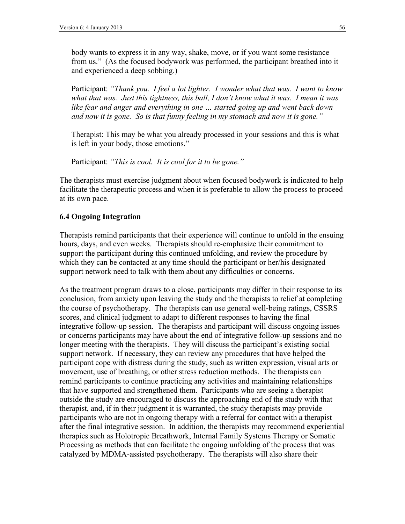body wants to express it in any way, shake, move, or if you want some resistance from us." (As the focused bodywork was performed, the participant breathed into it and experienced a deep sobbing.)

Participant: *"Thank you. I feel a lot lighter. I wonder what that was. I want to know what that was. Just this tightness, this ball, I don't know what it was. I mean it was like fear and anger and everything in one … started going up and went back down and now it is gone. So is that funny feeling in my stomach and now it is gone."*

Therapist: This may be what you already processed in your sessions and this is what is left in your body, those emotions."

Participant: *"This is cool. It is cool for it to be gone."*

The therapists must exercise judgment about when focused bodywork is indicated to help facilitate the therapeutic process and when it is preferable to allow the process to proceed at its own pace.

### **6.4 Ongoing Integration**

Therapists remind participants that their experience will continue to unfold in the ensuing hours, days, and even weeks. Therapists should re-emphasize their commitment to support the participant during this continued unfolding, and review the procedure by which they can be contacted at any time should the participant or her/his designated support network need to talk with them about any difficulties or concerns.

As the treatment program draws to a close, participants may differ in their response to its conclusion, from anxiety upon leaving the study and the therapists to relief at completing the course of psychotherapy. The therapists can use general well-being ratings, CSSRS scores, and clinical judgment to adapt to different responses to having the final integrative follow-up session. The therapists and participant will discuss ongoing issues or concerns participants may have about the end of integrative follow-up sessions and no longer meeting with the therapists. They will discuss the participant's existing social support network. If necessary, they can review any procedures that have helped the participant cope with distress during the study, such as written expression, visual arts or movement, use of breathing, or other stress reduction methods. The therapists can remind participants to continue practicing any activities and maintaining relationships that have supported and strengthened them. Participants who are seeing a therapist outside the study are encouraged to discuss the approaching end of the study with that therapist, and, if in their judgment it is warranted, the study therapists may provide participants who are not in ongoing therapy with a referral for contact with a therapist after the final integrative session. In addition, the therapists may recommend experiential therapies such as Holotropic Breathwork, Internal Family Systems Therapy or Somatic Processing as methods that can facilitate the ongoing unfolding of the process that was catalyzed by MDMA-assisted psychotherapy. The therapists will also share their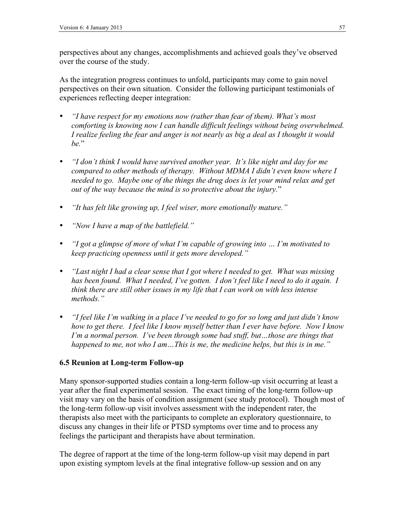perspectives about any changes, accomplishments and achieved goals they've observed over the course of the study.

As the integration progress continues to unfold, participants may come to gain novel perspectives on their own situation. Consider the following participant testimonials of experiences reflecting deeper integration:

- *"I have respect for my emotions now (rather than fear of them). What's most comforting is knowing now I can handle difficult feelings without being overwhelmed. I realize feeling the fear and anger is not nearly as big a deal as I thought it would be.*"
- *"I don't think I would have survived another year. It's like night and day for me compared to other methods of therapy. Without MDMA I didn't even know where I needed to go. Maybe one of the things the drug does is let your mind relax and get out of the way because the mind is so protective about the injury.*"
- *"It has felt like growing up, I feel wiser, more emotionally mature."*
- *"Now I have a map of the battlefield."*
- *"I got a glimpse of more of what I'm capable of growing into … I'm motivated to keep practicing openness until it gets more developed."*
- *"Last night I had a clear sense that I got where I needed to get. What was missing has been found. What I needed, I've gotten. I don't feel like I need to do it again. I think there are still other issues in my life that I can work on with less intense methods."*
- *"I feel like I'm walking in a place I've needed to go for so long and just didn't know how to get there. I feel like I know myself better than I ever have before. Now I know I'm a normal person. I've been through some bad stuff, but…those are things that happened to me, not who I am…This is me, the medicine helps, but this is in me."*

### **6.5 Reunion at Long-term Follow-up**

Many sponsor-supported studies contain a long-term follow-up visit occurring at least a year after the final experimental session. The exact timing of the long-term follow-up visit may vary on the basis of condition assignment (see study protocol). Though most of the long-term follow-up visit involves assessment with the independent rater, the therapists also meet with the participants to complete an exploratory questionnaire, to discuss any changes in their life or PTSD symptoms over time and to process any feelings the participant and therapists have about termination.

The degree of rapport at the time of the long-term follow-up visit may depend in part upon existing symptom levels at the final integrative follow-up session and on any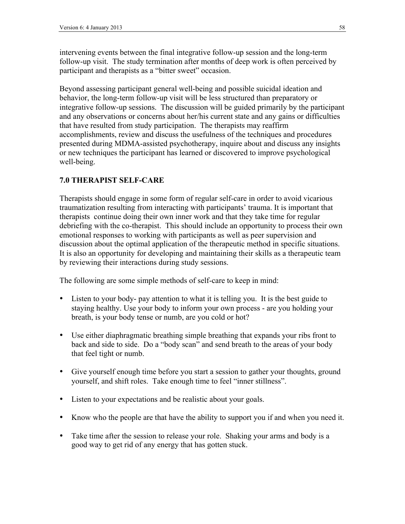intervening events between the final integrative follow-up session and the long-term follow-up visit. The study termination after months of deep work is often perceived by participant and therapists as a "bitter sweet" occasion.

Beyond assessing participant general well-being and possible suicidal ideation and behavior, the long-term follow-up visit will be less structured than preparatory or integrative follow-up sessions. The discussion will be guided primarily by the participant and any observations or concerns about her/his current state and any gains or difficulties that have resulted from study participation. The therapists may reaffirm accomplishments, review and discuss the usefulness of the techniques and procedures presented during MDMA-assisted psychotherapy, inquire about and discuss any insights or new techniques the participant has learned or discovered to improve psychological well-being.

### **7.0 THERAPIST SELF-CARE**

Therapists should engage in some form of regular self-care in order to avoid vicarious traumatization resulting from interacting with participants' trauma. It is important that therapists continue doing their own inner work and that they take time for regular debriefing with the co-therapist. This should include an opportunity to process their own emotional responses to working with participants as well as peer supervision and discussion about the optimal application of the therapeutic method in specific situations. It is also an opportunity for developing and maintaining their skills as a therapeutic team by reviewing their interactions during study sessions.

The following are some simple methods of self-care to keep in mind:

- Listen to your body- pay attention to what it is telling you. It is the best guide to staying healthy. Use your body to inform your own process - are you holding your breath, is your body tense or numb, are you cold or hot?
- Use either diaphragmatic breathing simple breathing that expands your ribs front to back and side to side. Do a "body scan" and send breath to the areas of your body that feel tight or numb.
- Give yourself enough time before you start a session to gather your thoughts, ground yourself, and shift roles. Take enough time to feel "inner stillness".
- Listen to your expectations and be realistic about your goals.
- Know who the people are that have the ability to support you if and when you need it.
- Take time after the session to release your role. Shaking your arms and body is a good way to get rid of any energy that has gotten stuck.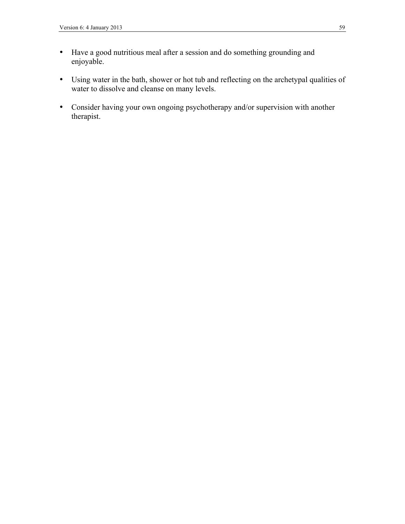- Have a good nutritious meal after a session and do something grounding and enjoyable.
- Using water in the bath, shower or hot tub and reflecting on the archetypal qualities of water to dissolve and cleanse on many levels.
- Consider having your own ongoing psychotherapy and/or supervision with another therapist.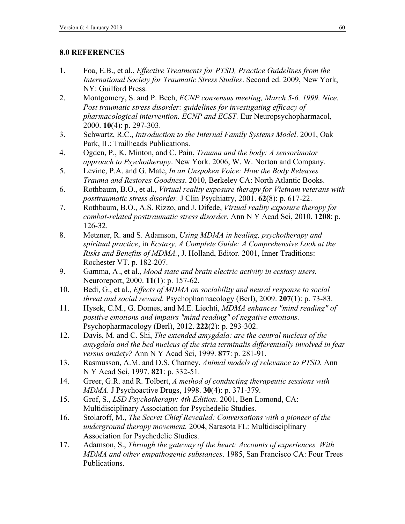### **8.0 REFERENCES**

- 1. Foa, E.B., et al., *Effective Treatments for PTSD, Practice Guidelines from the International Society for Traumatic Stress Studies*. Second ed. 2009, New York, NY: Guilford Press.
- 2. Montgomery, S. and P. Bech, *ECNP consensus meeting, March 5-6, 1999, Nice. Post traumatic stress disorder: guidelines for investigating efficacy of pharmacological intervention. ECNP and ECST.* Eur Neuropsychopharmacol, 2000. **10**(4): p. 297-303.
- 3. Schwartz, R.C., *Introduction to the Internal Family Systems Model*. 2001, Oak Park, IL: Trailheads Publications.
- 4. Ogden, P., K. Minton, and C. Pain, *Trauma and the body: A sensorimotor approach to Psychotherapy*. New York. 2006, W. W. Norton and Company.
- 5. Levine, P.A. and G. Mate, *In an Unspoken Voice: How the Body Releases Trauma and Restores Goodness*. 2010, Berkeley CA: North Atlantic Books.
- 6. Rothbaum, B.O., et al., *Virtual reality exposure therapy for Vietnam veterans with posttraumatic stress disorder.* J Clin Psychiatry, 2001. **62**(8): p. 617-22.
- 7. Rothbaum, B.O., A.S. Rizzo, and J. Difede, *Virtual reality exposure therapy for combat-related posttraumatic stress disorder.* Ann N Y Acad Sci, 2010. **1208**: p. 126-32.
- 8. Metzner, R. and S. Adamson, *Using MDMA in healing, psychotherapy and spiritual practice*, in *Ecstasy, A Complete Guide: A Comprehensive Look at the Risks and Benefits of MDMA.*, J. Holland, Editor. 2001, Inner Traditions: Rochester VT. p. 182-207.
- 9. Gamma, A., et al., *Mood state and brain electric activity in ecstasy users.* Neuroreport, 2000. **11**(1): p. 157-62.
- 10. Bedi, G., et al., *Effects of MDMA on sociability and neural response to social threat and social reward.* Psychopharmacology (Berl), 2009. **207**(1): p. 73-83.
- 11. Hysek, C.M., G. Domes, and M.E. Liechti, *MDMA enhances "mind reading" of positive emotions and impairs "mind reading" of negative emotions.* Psychopharmacology (Berl), 2012. **222**(2): p. 293-302.
- 12. Davis, M. and C. Shi, *The extended amygdala: are the central nucleus of the amygdala and the bed nucleus of the stria terminalis differentially involved in fear versus anxiety?* Ann N Y Acad Sci, 1999. **877**: p. 281-91.
- 13. Rasmusson, A.M. and D.S. Charney, *Animal models of relevance to PTSD.* Ann N Y Acad Sci, 1997. **821**: p. 332-51.
- 14. Greer, G.R. and R. Tolbert, *A method of conducting therapeutic sessions with MDMA.* J Psychoactive Drugs, 1998. **30**(4): p. 371-379.
- 15. Grof, S., *LSD Psychotherapy: 4th Edition*. 2001, Ben Lomond, CA: Multidisciplinary Association for Psychedelic Studies.
- 16. Stolaroff, M., *The Secret Chief Revealed: Conversations with a pioneer of the underground therapy movement.* 2004, Sarasota FL: Multidisciplinary Association for Psychedelic Studies.
- 17. Adamson, S., *Through the gateway of the heart: Accounts of experiences With MDMA and other empathogenic substances*. 1985, San Francisco CA: Four Trees Publications.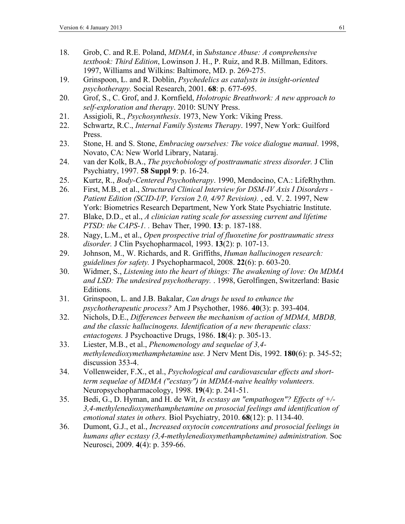- 18. Grob, C. and R.E. Poland, *MDMA*, in *Substance Abuse: A comprehensive textbook: Third Edition*, Lowinson J. H., P. Ruiz, and R.B. Millman, Editors. 1997, Williams and Wilkins: Baltimore, MD. p. 269-275.
- 19. Grinspoon, L. and R. Doblin, *Psychedelics as catalysts in insight-oriented psychotherapy.* Social Research, 2001. **68**: p. 677-695.
- 20. Grof, S., C. Grof, and J. Kornfield, *Holotropic Breathwork: A new approach to self-exploration and therapy*. 2010: SUNY Press.
- 21. Assigioli, R., *Psychosynthesis*. 1973, New York: Viking Press.
- 22. Schwartz, R.C., *Internal Family Systems Therapy*. 1997, New York: Guilford Press.
- 23. Stone, H. and S. Stone, *Embracing ourselves: The voice dialogue manual*. 1998, Novato, CA: New World Library, Nataraj.
- 24. van der Kolk, B.A., *The psychobiology of posttraumatic stress disorder.* J Clin Psychiatry, 1997. **58 Suppl 9**: p. 16-24.
- 25. Kurtz, R., *Body-Centered Psychotherapy*. 1990, Mendocino, CA.: LifeRhythm.
- 26. First, M.B., et al., *Structured Clinical Interview for DSM-IV Axis I Disorders - Patient Edition (SCID-I/P, Version 2.0, 4/97 Revision).* , ed. V. 2. 1997, New York: Biometrics Research Department, New York State Psychiatric Institute.
- 27. Blake, D.D., et al., *A clinician rating scale for assessing current and lifetime PTSD: the CAPS-1. .* Behav Ther, 1990. **13**: p. 187-188.
- 28. Nagy, L.M., et al., *Open prospective trial of fluoxetine for posttraumatic stress disorder.* J Clin Psychopharmacol, 1993. **13**(2): p. 107-13.
- 29. Johnson, M., W. Richards, and R. Griffiths, *Human hallucinogen research: guidelines for safety.* J Psychopharmacol, 2008. **22**(6): p. 603-20.
- 30. Widmer, S., *Listening into the heart of things: The awakening of love: On MDMA and LSD: The undesired psychotherapy.* . 1998, Gerolfingen, Switzerland: Basic Editions.
- 31. Grinspoon, L. and J.B. Bakalar, *Can drugs be used to enhance the psychotherapeutic process?* Am J Psychother, 1986. **40**(3): p. 393-404.
- 32. Nichols, D.E., *Differences between the mechanism of action of MDMA, MBDB, and the classic hallucinogens. Identification of a new therapeutic class: entactogens.* J Psychoactive Drugs, 1986. **18**(4): p. 305-13.
- 33. Liester, M.B., et al., *Phenomenology and sequelae of 3,4 methylenedioxymethamphetamine use.* J Nerv Ment Dis, 1992. **180**(6): p. 345-52; discussion 353-4.
- 34. Vollenweider, F.X., et al., *Psychological and cardiovascular effects and shortterm sequelae of MDMA ("ecstasy") in MDMA-naive healthy volunteers.* Neuropsychopharmacology, 1998. **19**(4): p. 241-51.
- 35. Bedi, G., D. Hyman, and H. de Wit, *Is ecstasy an "empathogen"? Effects of +/- 3,4-methylenedioxymethamphetamine on prosocial feelings and identification of emotional states in others.* Biol Psychiatry, 2010. **68**(12): p. 1134-40.
- 36. Dumont, G.J., et al., *Increased oxytocin concentrations and prosocial feelings in humans after ecstasy (3,4-methylenedioxymethamphetamine) administration.* Soc Neurosci, 2009. **4**(4): p. 359-66.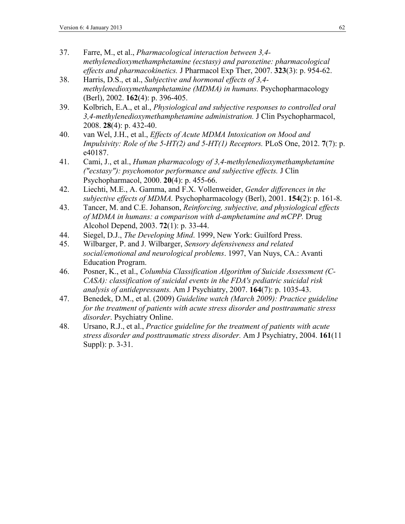- 37. Farre, M., et al., *Pharmacological interaction between 3,4 methylenedioxymethamphetamine (ecstasy) and paroxetine: pharmacological effects and pharmacokinetics.* J Pharmacol Exp Ther, 2007. **323**(3): p. 954-62.
- 38. Harris, D.S., et al., *Subjective and hormonal effects of 3,4 methylenedioxymethamphetamine (MDMA) in humans.* Psychopharmacology (Berl), 2002. **162**(4): p. 396-405.
- 39. Kolbrich, E.A., et al., *Physiological and subjective responses to controlled oral 3,4-methylenedioxymethamphetamine administration.* J Clin Psychopharmacol, 2008. **28**(4): p. 432-40.
- 40. van Wel, J.H., et al., *Effects of Acute MDMA Intoxication on Mood and Impulsivity: Role of the 5-HT(2) and 5-HT(1) Receptors.* PLoS One, 2012. **7**(7): p. e40187.
- 41. Cami, J., et al., *Human pharmacology of 3,4-methylenedioxymethamphetamine ("ecstasy"): psychomotor performance and subjective effects.* J Clin Psychopharmacol, 2000. **20**(4): p. 455-66.
- 42. Liechti, M.E., A. Gamma, and F.X. Vollenweider, *Gender differences in the subjective effects of MDMA.* Psychopharmacology (Berl), 2001. **154**(2): p. 161-8.
- 43. Tancer, M. and C.E. Johanson, *Reinforcing, subjective, and physiological effects of MDMA in humans: a comparison with d-amphetamine and mCPP.* Drug Alcohol Depend, 2003. **72**(1): p. 33-44.
- 44. Siegel, D.J., *The Developing Mind*. 1999, New York: Guilford Press.
- 45. Wilbarger, P. and J. Wilbarger, *Sensory defensiveness and related social/emotional and neurological problems*. 1997, Van Nuys, CA.: Avanti Education Program.
- 46. Posner, K., et al., *Columbia Classification Algorithm of Suicide Assessment (C-CASA): classification of suicidal events in the FDA's pediatric suicidal risk analysis of antidepressants.* Am J Psychiatry, 2007. **164**(7): p. 1035-43.
- 47. Benedek, D.M., et al. (2009) *Guideline watch (March 2009): Practice guideline for the treatment of patients with acute stress disorder and posttraumatic stress disorder*. Psychiatry Online.
- 48. Ursano, R.J., et al., *Practice guideline for the treatment of patients with acute stress disorder and posttraumatic stress disorder.* Am J Psychiatry, 2004. **161**(11 Suppl): p. 3-31.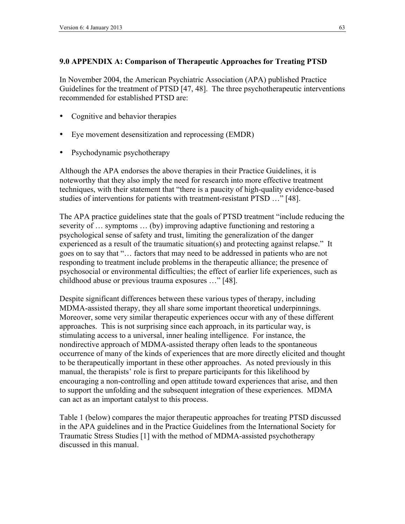### **9.0 APPENDIX A: Comparison of Therapeutic Approaches for Treating PTSD**

In November 2004, the American Psychiatric Association (APA) published Practice Guidelines for the treatment of PTSD [47, 48]. The three psychotherapeutic interventions recommended for established PTSD are:

- Cognitive and behavior therapies
- Eye movement desensitization and reprocessing (EMDR)
- Psychodynamic psychotherapy

Although the APA endorses the above therapies in their Practice Guidelines, it is noteworthy that they also imply the need for research into more effective treatment techniques, with their statement that "there is a paucity of high-quality evidence-based studies of interventions for patients with treatment-resistant PTSD …" [48].

The APA practice guidelines state that the goals of PTSD treatment "include reducing the severity of … symptoms … (by) improving adaptive functioning and restoring a psychological sense of safety and trust, limiting the generalization of the danger experienced as a result of the traumatic situation(s) and protecting against relapse." It goes on to say that "… factors that may need to be addressed in patients who are not responding to treatment include problems in the therapeutic alliance; the presence of psychosocial or environmental difficulties; the effect of earlier life experiences, such as childhood abuse or previous trauma exposures …" [48].

Despite significant differences between these various types of therapy, including MDMA-assisted therapy, they all share some important theoretical underpinnings. Moreover, some very similar therapeutic experiences occur with any of these different approaches. This is not surprising since each approach, in its particular way, is stimulating access to a universal, inner healing intelligence. For instance, the nondirective approach of MDMA-assisted therapy often leads to the spontaneous occurrence of many of the kinds of experiences that are more directly elicited and thought to be therapeutically important in these other approaches. As noted previously in this manual, the therapists' role is first to prepare participants for this likelihood by encouraging a non-controlling and open attitude toward experiences that arise, and then to support the unfolding and the subsequent integration of these experiences. MDMA can act as an important catalyst to this process.

Table 1 (below) compares the major therapeutic approaches for treating PTSD discussed in the APA guidelines and in the Practice Guidelines from the International Society for Traumatic Stress Studies [1] with the method of MDMA-assisted psychotherapy discussed in this manual.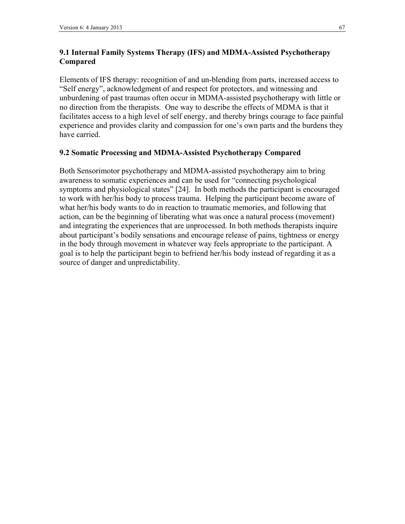### **9.1 Internal Family Systems Therapy (IFS) and MDMA-Assisted Psychotherapy Compared**

Elements of IFS therapy: recognition of and un-blending from parts, increased access to "Self energy", acknowledgment of and respect for protectors, and witnessing and unburdening of past traumas often occur in MDMA-assisted psychotherapy with little or no direction from the therapists. One way to describe the effects of MDMA is that it facilitates access to a high level of self energy, and thereby brings courage to face painful experience and provides clarity and compassion for one's own parts and the burdens they have carried.

### **9.2 Somatic Processing and MDMA-Assisted Psychotherapy Compared**

Both Sensorimotor psychotherapy and MDMA-assisted psychotherapy aim to bring awareness to somatic experiences and can be used for "connecting psychological symptoms and physiological states" [24]. In both methods the participant is encouraged to work with her/his body to process trauma. Helping the participant become aware of what her/his body wants to do in reaction to traumatic memories, and following that action, can be the beginning of liberating what was once a natural process (movement) and integrating the experiences that are unprocessed. In both methods therapists inquire about participant's bodily sensations and encourage release of pains, tightness or energy in the body through movement in whatever way feels appropriate to the participant. A goal is to help the participant begin to befriend her/his body instead of regarding it as a source of danger and unpredictability.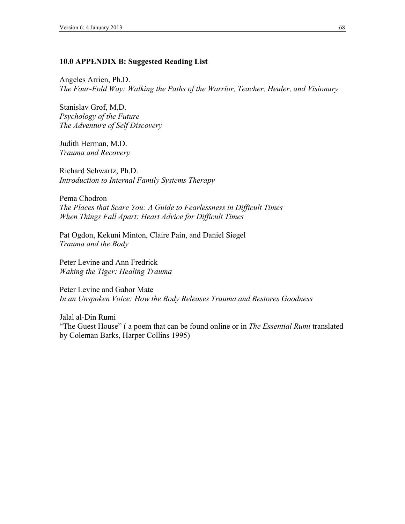#### **10.0 APPENDIX B: Suggested Reading List**

Angeles Arrien, Ph.D. *The Four-Fold Way: Walking the Paths of the Warrior, Teacher, Healer, and Visionary*

Stanislav Grof, M.D. *Psychology of the Future The Adventure of Self Discovery*

Judith Herman, M.D. *Trauma and Recovery*

Richard Schwartz, Ph.D. *Introduction to Internal Family Systems Therapy*

Pema Chodron *The Places that Scare You: A Guide to Fearlessness in Difficult Times When Things Fall Apart: Heart Advice for Difficult Times*

Pat Ogdon, Kekuni Minton, Claire Pain, and Daniel Siegel *Trauma and the Body*

Peter Levine and Ann Fredrick *Waking the Tiger: Healing Trauma*

Peter Levine and Gabor Mate *In an Unspoken Voice: How the Body Releases Trauma and Restores Goodness*

Jalal al-Din Rumi "The Guest House" ( a poem that can be found online or in *The Essential Rumi* translated by Coleman Barks, Harper Collins 1995)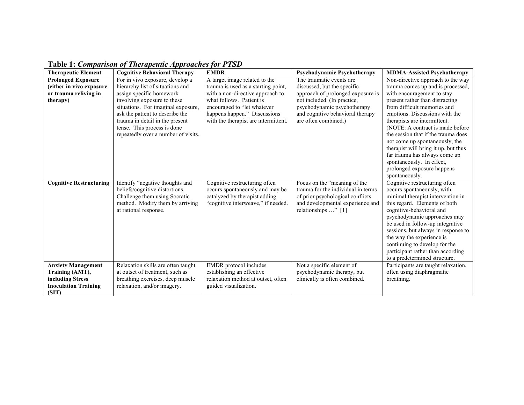| <b>Therapeutic Element</b>                                                                               | <b>Cognitive Behavioral Therapy</b>                                                                                                                            | <b>EMDR</b>                                                                                                                             | <b>Psychodynamic Psychotherapy</b>                                                                                                                                | <b>MDMA-Assisted Psychotherapy</b>                                                                                                                                                                                                                                                                                                                                                                           |
|----------------------------------------------------------------------------------------------------------|----------------------------------------------------------------------------------------------------------------------------------------------------------------|-----------------------------------------------------------------------------------------------------------------------------------------|-------------------------------------------------------------------------------------------------------------------------------------------------------------------|--------------------------------------------------------------------------------------------------------------------------------------------------------------------------------------------------------------------------------------------------------------------------------------------------------------------------------------------------------------------------------------------------------------|
| <b>Prolonged Exposure</b>                                                                                | For in vivo exposure, develop a                                                                                                                                | A target image related to the                                                                                                           | The traumatic events are                                                                                                                                          | Non-directive approach to the way                                                                                                                                                                                                                                                                                                                                                                            |
| (either in vivo exposure                                                                                 | hierarchy list of situations and                                                                                                                               | trauma is used as a starting point,                                                                                                     | discussed, but the specific                                                                                                                                       | trauma comes up and is processed,                                                                                                                                                                                                                                                                                                                                                                            |
| or trauma reliving in                                                                                    | assign specific homework                                                                                                                                       | with a non-directive approach to                                                                                                        | approach of prolonged exposure is                                                                                                                                 | with encouragement to stay                                                                                                                                                                                                                                                                                                                                                                                   |
| therapy)                                                                                                 | involving exposure to these                                                                                                                                    | what follows. Patient is                                                                                                                | not included. (In practice,                                                                                                                                       | present rather than distracting                                                                                                                                                                                                                                                                                                                                                                              |
|                                                                                                          | situations. For imaginal exposure,                                                                                                                             | encouraged to "let whatever                                                                                                             | psychodynamic psychotherapy                                                                                                                                       | from difficult memories and                                                                                                                                                                                                                                                                                                                                                                                  |
|                                                                                                          | ask the patient to describe the                                                                                                                                | happens happen." Discussions                                                                                                            | and cognitive behavioral therapy                                                                                                                                  | emotions. Discussions with the                                                                                                                                                                                                                                                                                                                                                                               |
|                                                                                                          | trauma in detail in the present                                                                                                                                | with the therapist are intermittent.                                                                                                    | are often combined.)                                                                                                                                              | therapists are intermittent.                                                                                                                                                                                                                                                                                                                                                                                 |
|                                                                                                          | tense. This process is done                                                                                                                                    |                                                                                                                                         |                                                                                                                                                                   | (NOTE: A contract is made before                                                                                                                                                                                                                                                                                                                                                                             |
|                                                                                                          | repeatedly over a number of visits.                                                                                                                            |                                                                                                                                         |                                                                                                                                                                   | the session that if the trauma does                                                                                                                                                                                                                                                                                                                                                                          |
|                                                                                                          |                                                                                                                                                                |                                                                                                                                         |                                                                                                                                                                   | not come up spontaneously, the                                                                                                                                                                                                                                                                                                                                                                               |
|                                                                                                          |                                                                                                                                                                |                                                                                                                                         |                                                                                                                                                                   | therapist will bring it up, but thus                                                                                                                                                                                                                                                                                                                                                                         |
|                                                                                                          |                                                                                                                                                                |                                                                                                                                         |                                                                                                                                                                   | far trauma has always come up                                                                                                                                                                                                                                                                                                                                                                                |
|                                                                                                          |                                                                                                                                                                |                                                                                                                                         |                                                                                                                                                                   | spontaneously. In effect,                                                                                                                                                                                                                                                                                                                                                                                    |
|                                                                                                          |                                                                                                                                                                |                                                                                                                                         |                                                                                                                                                                   | prolonged exposure happens                                                                                                                                                                                                                                                                                                                                                                                   |
|                                                                                                          |                                                                                                                                                                |                                                                                                                                         |                                                                                                                                                                   | spontaneously.                                                                                                                                                                                                                                                                                                                                                                                               |
| <b>Cognitive Restructuring</b>                                                                           | Identify "negative thoughts and<br>beliefs/cognitive distortions.<br>Challenge them using Socratic<br>method. Modify them by arriving<br>at rational response. | Cognitive restructuring often<br>occurs spontaneously and may be<br>catalyzed by therapist adding<br>"cognitive interweave," if needed. | Focus on the "meaning of the<br>trauma for the individual in terms<br>of prior psychological conflicts<br>and developmental experience and<br>relationships " [1] | Cognitive restructuring often<br>occurs spontaneously, with<br>minimal therapist intervention in<br>this regard. Elements of both<br>cognitive-behavioral and<br>psychodynamic approaches may<br>be used in follow-up integrative<br>sessions, but always in response to<br>the way the experience is<br>continuing to develop for the<br>participant rather than according<br>to a predetermined structure. |
| <b>Anxiety Management</b><br>Training (AMT),<br>including Stress<br><b>Inoculation Training</b><br>(SIT) | Relaxation skills are often taught<br>at outset of treatment, such as<br>breathing exercises, deep muscle<br>relaxation, and/or imagery.                       | <b>EMDR</b> protocol includes<br>establishing an effective<br>relaxation method at outset, often<br>guided visualization.               | Not a specific element of<br>psychodynamic therapy, but<br>clinically is often combined.                                                                          | Participants are taught relaxation,<br>often using diaphragmatic<br>breathing.                                                                                                                                                                                                                                                                                                                               |

**Table 1:** *Comparison of Therapeutic Approaches for PTSD*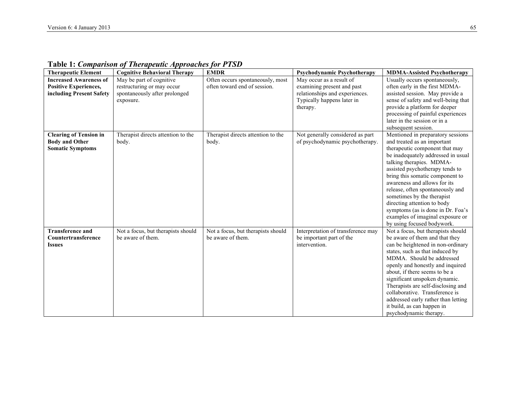| <b>Therapeutic Element</b>                                                                | <b>Cognitive Behavioral Therapy</b>                                                                  | <b>EMDR</b>                                                      | <b>Psychodynamic Psychotherapy</b>                                                                                                 | <b>MDMA-Assisted Psychotherapy</b>                                                                                                                                                                                                                                                                                                                                                                                                                                                 |
|-------------------------------------------------------------------------------------------|------------------------------------------------------------------------------------------------------|------------------------------------------------------------------|------------------------------------------------------------------------------------------------------------------------------------|------------------------------------------------------------------------------------------------------------------------------------------------------------------------------------------------------------------------------------------------------------------------------------------------------------------------------------------------------------------------------------------------------------------------------------------------------------------------------------|
| <b>Increased Awareness of</b><br><b>Positive Experiences,</b><br>including Present Safety | May be part of cognitive<br>restructuring or may occur<br>spontaneously after prolonged<br>exposure. | Often occurs spontaneously, most<br>often toward end of session. | May occur as a result of<br>examining present and past<br>relationships and experiences.<br>Typically happens later in<br>therapy. | Usually occurs spontaneously,<br>often early in the first MDMA-<br>assisted session. May provide a<br>sense of safety and well-being that<br>provide a platform for deeper<br>processing of painful experiences<br>later in the session or in a<br>subsequent session.                                                                                                                                                                                                             |
| <b>Clearing of Tension in</b><br><b>Body and Other</b><br><b>Somatic Symptoms</b>         | Therapist directs attention to the<br>body.                                                          | Therapist directs attention to the<br>body.                      | Not generally considered as part<br>of psychodynamic psychotherapy.                                                                | Mentioned in preparatory sessions<br>and treated as an important<br>therapeutic component that may<br>be inadequately addressed in usual<br>talking therapies. MDMA-<br>assisted psychotherapy tends to<br>bring this somatic component to<br>awareness and allows for its<br>release, often spontaneously and<br>sometimes by the therapist<br>directing attention to body<br>symptoms (as is done in Dr. Foa's<br>examples of imaginal exposure or<br>by using focused bodywork. |
| <b>Transference and</b><br>Countertransference<br><b>Issues</b>                           | Not a focus, but therapists should<br>be aware of them.                                              | Not a focus, but therapists should<br>be aware of them.          | Interpretation of transference may<br>be important part of the<br>intervention.                                                    | Not a focus, but therapists should<br>be aware of them and that they<br>can be heightened in non-ordinary<br>states, such as that induced by<br>MDMA. Should be addressed<br>openly and honestly and inquired<br>about, if there seems to be a<br>significant unspoken dynamic.<br>Therapists are self-disclosing and<br>collaborative. Transference is<br>addressed early rather than letting<br>it build, as can happen in<br>psychodynamic therapy.                             |

**Table 1:** *Comparison of Therapeutic Approaches for PTSD*